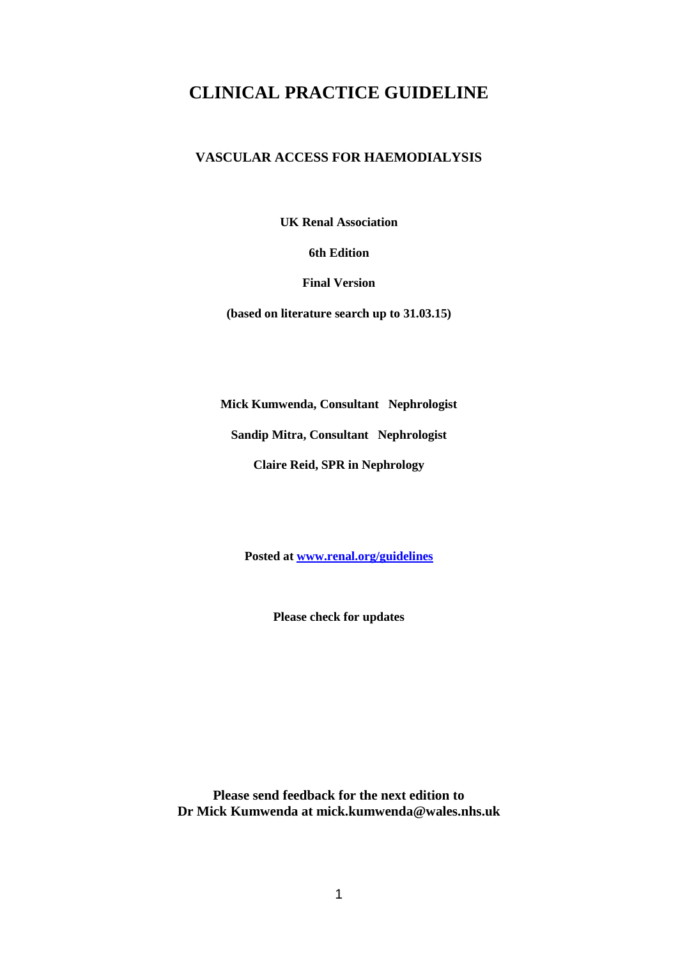# **CLINICAL PRACTICE GUIDELINE**

## **VASCULAR ACCESS FOR HAEMODIALYSIS**

**UK Renal Association**

## **6th Edition**

**Final Version**

**(based on literature search up to 31.03.15)**

**Mick Kumwenda, Consultant Nephrologist**

**Sandip Mitra, Consultant Nephrologist**

**Claire Reid, SPR in Nephrology**

**Posted at [www.renal.org/guidelines](http://www.renal.org/guidelines)**

**Please check for updates**

**Please send feedback for the next edition to Dr Mick Kumwenda at mick.kumwenda@wales.nhs.uk**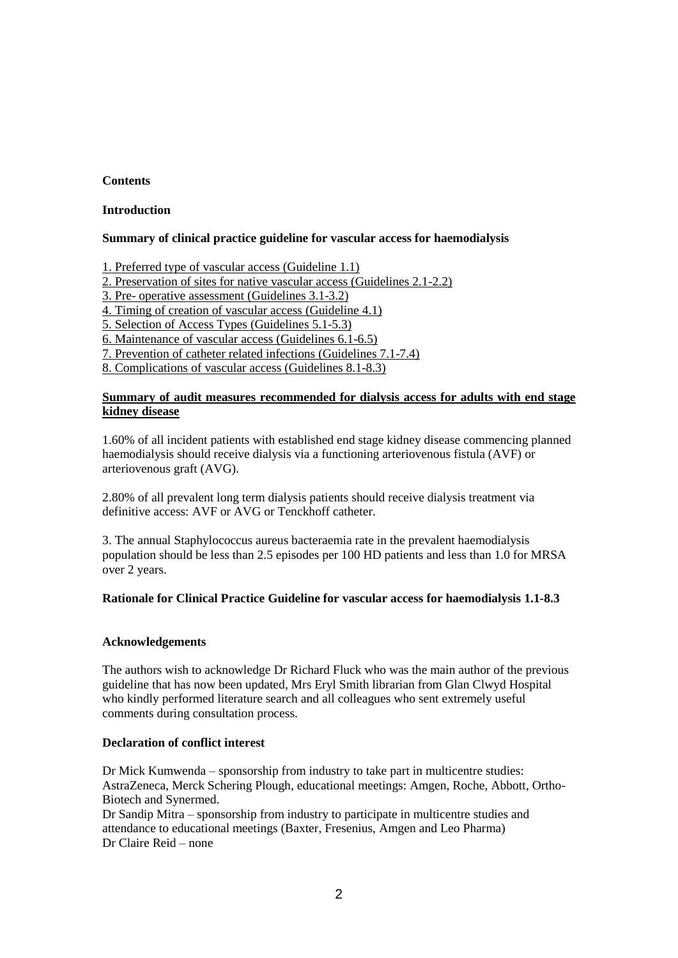## **Contents**

## **Introduction**

## **Summary of clinical practice guideline for vascular access for haemodialysis**

1. Preferred type of vascular access (Guideline 1.1)

2. Preservation of sites for native vascular access (Guidelines 2.1-2.2)

3. Pre- operative assessment (Guidelines 3.1-3.2)

4. Timing of creation of vascular access (Guideline 4.1)

5. Selection of Access Types (Guidelines 5.1-5.3)

6. Maintenance of vascular access (Guidelines 6.1-6.5)

7. Prevention of catheter related infections (Guidelines 7.1-7.4)

8. Complications of vascular access (Guidelines 8.1-8.3)

## **Summary of audit measures recommended for dialysis access for adults with end stage kidney disease**

1.60% of all incident patients with established end stage kidney disease commencing planned haemodialysis should receive dialysis via a functioning arteriovenous fistula (AVF) or arteriovenous graft (AVG).

2.80% of all prevalent long term dialysis patients should receive dialysis treatment via definitive access: AVF or AVG or Tenckhoff catheter.

3. The annual Staphylococcus aureus bacteraemia rate in the prevalent haemodialysis population should be less than 2.5 episodes per 100 HD patients and less than 1.0 for MRSA over 2 years.

## **Rationale for Clinical Practice Guideline for vascular access for haemodialysis 1.1-8.3**

## **Acknowledgements**

The authors wish to acknowledge Dr Richard Fluck who was the main author of the previous guideline that has now been updated, Mrs Eryl Smith librarian from Glan Clwyd Hospital who kindly performed literature search and all colleagues who sent extremely useful comments during consultation process.

## **Declaration of conflict interest**

Dr Mick Kumwenda – sponsorship from industry to take part in multicentre studies: AstraZeneca, Merck Schering Plough, educational meetings: Amgen, Roche, Abbott, Ortho-Biotech and Synermed.

Dr Sandip Mitra – sponsorship from industry to participate in multicentre studies and attendance to educational meetings (Baxter, Fresenius, Amgen and Leo Pharma) Dr Claire Reid – none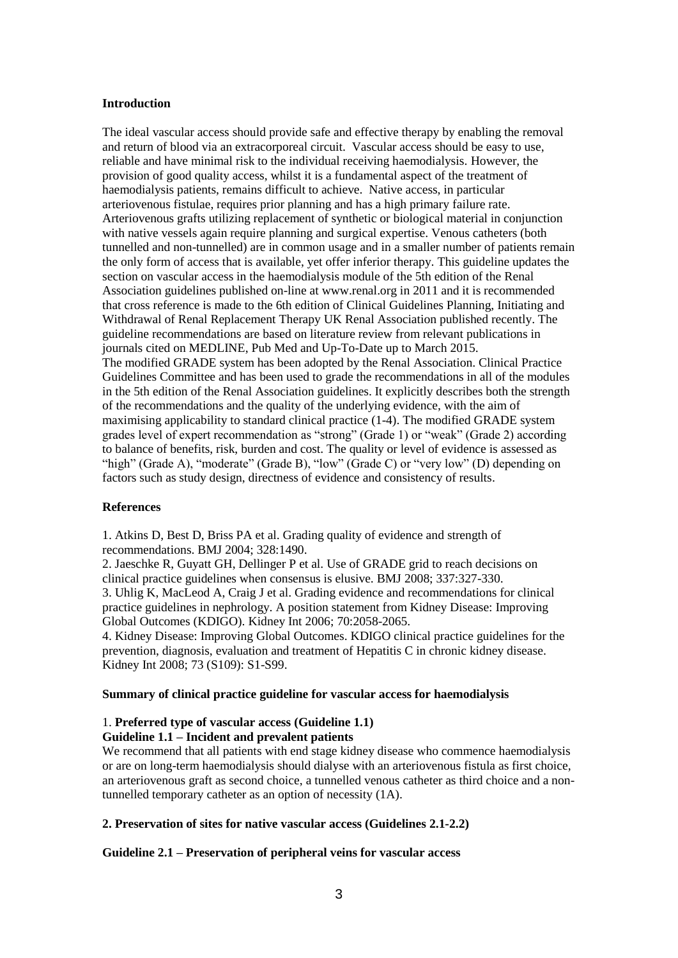#### **Introduction**

The ideal vascular access should provide safe and effective therapy by enabling the removal and return of blood via an extracorporeal circuit. Vascular access should be easy to use, reliable and have minimal risk to the individual receiving haemodialysis. However, the provision of good quality access, whilst it is a fundamental aspect of the treatment of haemodialysis patients, remains difficult to achieve. Native access, in particular arteriovenous fistulae, requires prior planning and has a high primary failure rate. Arteriovenous grafts utilizing replacement of synthetic or biological material in conjunction with native vessels again require planning and surgical expertise. Venous catheters (both tunnelled and non-tunnelled) are in common usage and in a smaller number of patients remain the only form of access that is available, yet offer inferior therapy. This guideline updates the section on vascular access in the haemodialysis module of the 5th edition of the Renal Association guidelines published on-line at www.renal.org in 2011 and it is recommended that cross reference is made to the 6th edition of Clinical Guidelines Planning, Initiating and Withdrawal of Renal Replacement Therapy UK Renal Association published recently. The guideline recommendations are based on literature review from relevant publications in journals cited on MEDLINE, Pub Med and Up-To-Date up to March 2015. The modified GRADE system has been adopted by the Renal Association. Clinical Practice Guidelines Committee and has been used to grade the recommendations in all of the modules in the 5th edition of the Renal Association guidelines. It explicitly describes both the strength of the recommendations and the quality of the underlying evidence, with the aim of maximising applicability to standard clinical practice (1-4). The modified GRADE system grades level of expert recommendation as "strong" (Grade 1) or "weak" (Grade 2) according to balance of benefits, risk, burden and cost. The quality or level of evidence is assessed as "high" (Grade A), "moderate" (Grade B), "low" (Grade C) or "very low" (D) depending on factors such as study design, directness of evidence and consistency of results.

## **References**

1. Atkins D, Best D, Briss PA et al. Grading quality of evidence and strength of recommendations. BMJ 2004; 328:1490.

2. Jaeschke R, Guyatt GH, Dellinger P et al. Use of GRADE grid to reach decisions on clinical practice guidelines when consensus is elusive. BMJ 2008; 337:327-330.

3. Uhlig K, MacLeod A, Craig J et al. Grading evidence and recommendations for clinical practice guidelines in nephrology. A position statement from Kidney Disease: Improving Global Outcomes (KDIGO). Kidney Int 2006; 70:2058-2065.

4. Kidney Disease: Improving Global Outcomes. KDIGO clinical practice guidelines for the prevention, diagnosis, evaluation and treatment of Hepatitis C in chronic kidney disease. Kidney Int 2008; 73 (S109): S1-S99.

#### **Summary of clinical practice guideline for vascular access for haemodialysis**

# 1. **Preferred type of vascular access (Guideline 1.1)**

## **Guideline 1.1 – Incident and prevalent patients**

We recommend that all patients with end stage kidney disease who commence haemodialysis or are on long-term haemodialysis should dialyse with an arteriovenous fistula as first choice, an arteriovenous graft as second choice, a tunnelled venous catheter as third choice and a nontunnelled temporary catheter as an option of necessity (1A).

## **2. Preservation of sites for native vascular access (Guidelines 2.1-2.2)**

## **Guideline 2.1 – Preservation of peripheral veins for vascular access**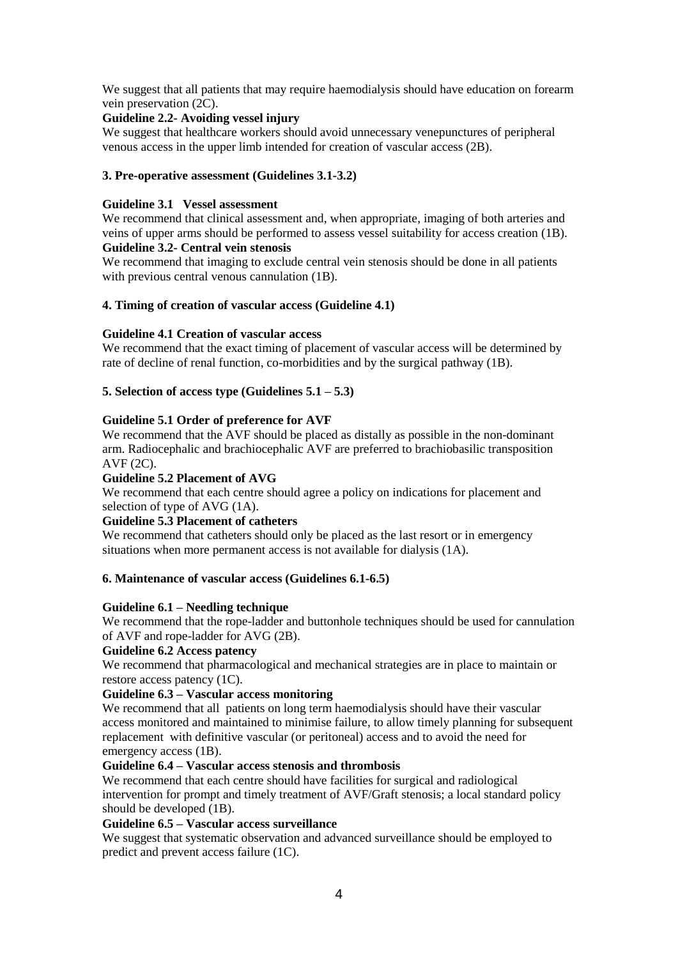We suggest that all patients that may require haemodialysis should have education on forearm vein preservation (2C).

## **Guideline 2.2- Avoiding vessel injury**

We suggest that healthcare workers should avoid unnecessary venepunctures of peripheral venous access in the upper limb intended for creation of vascular access (2B).

## **3. Pre-operative assessment (Guidelines 3.1-3.2)**

## **Guideline 3.1 Vessel assessment**

We recommend that clinical assessment and, when appropriate, imaging of both arteries and veins of upper arms should be performed to assess vessel suitability for access creation (1B).

## **Guideline 3.2- Central vein stenosis**

We recommend that imaging to exclude central vein stenosis should be done in all patients with previous central venous cannulation (1B).

## **4. Timing of creation of vascular access (Guideline 4.1)**

## **Guideline 4.1 Creation of vascular access**

We recommend that the exact timing of placement of vascular access will be determined by rate of decline of renal function, co-morbidities and by the surgical pathway (1B).

## **5. Selection of access type (Guidelines 5.1 – 5.3)**

## **Guideline 5.1 Order of preference for AVF**

We recommend that the AVF should be placed as distally as possible in the non-dominant arm. Radiocephalic and brachiocephalic AVF are preferred to brachiobasilic transposition AVF (2C).

## **Guideline 5.2 Placement of AVG**

We recommend that each centre should agree a policy on indications for placement and selection of type of AVG (1A).

## **Guideline 5.3 Placement of catheters**

We recommend that catheters should only be placed as the last resort or in emergency situations when more permanent access is not available for dialysis (1A).

## **6. Maintenance of vascular access (Guidelines 6.1-6.5)**

## **Guideline 6.1 – Needling technique**

We recommend that the rope-ladder and buttonhole techniques should be used for cannulation of AVF and rope-ladder for AVG (2B).

## **Guideline 6.2 Access patency**

We recommend that pharmacological and mechanical strategies are in place to maintain or restore access patency (1C).

## **Guideline 6.3 – Vascular access monitoring**

We recommend that all patients on long term haemodialysis should have their vascular access monitored and maintained to minimise failure, to allow timely planning for subsequent replacement with definitive vascular (or peritoneal) access and to avoid the need for emergency access (1B).

## **Guideline 6.4 – Vascular access stenosis and thrombosis**

We recommend that each centre should have facilities for surgical and radiological intervention for prompt and timely treatment of AVF/Graft stenosis; a local standard policy should be developed (1B).

## **Guideline 6.5 – Vascular access surveillance**

We suggest that systematic observation and advanced surveillance should be employed to predict and prevent access failure (1C).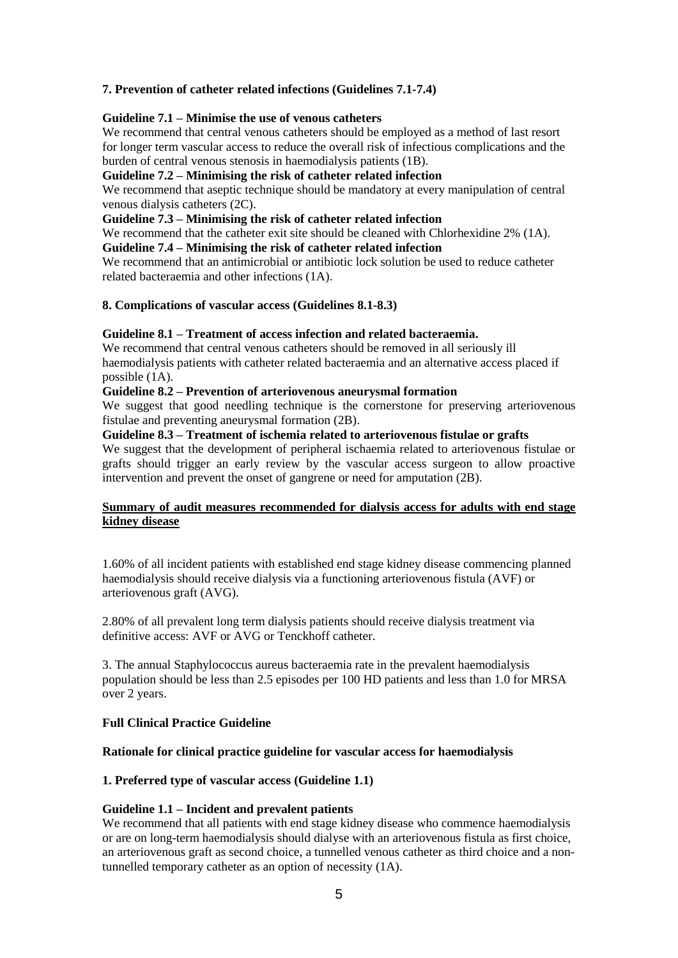## **7. Prevention of catheter related infections (Guidelines 7.1-7.4)**

## **Guideline 7.1 – Minimise the use of venous catheters**

We recommend that central venous catheters should be employed as a method of last resort for longer term vascular access to reduce the overall risk of infectious complications and the burden of central venous stenosis in haemodialysis patients (1B).

#### **Guideline 7.2 – Minimising the risk of catheter related infection**

We recommend that aseptic technique should be mandatory at every manipulation of central venous dialysis catheters (2C).

## **Guideline 7.3 – Minimising the risk of catheter related infection**

We recommend that the catheter exit site should be cleaned with Chlorhexidine 2% (1A).

#### **Guideline 7.4 – Minimising the risk of catheter related infection**

We recommend that an antimicrobial or antibiotic lock solution be used to reduce catheter related bacteraemia and other infections (1A).

#### **8. Complications of vascular access (Guidelines 8.1-8.3)**

#### **Guideline 8.1 – Treatment of access infection and related bacteraemia.**

We recommend that central venous catheters should be removed in all seriously ill haemodialysis patients with catheter related bacteraemia and an alternative access placed if possible (1A).

#### **Guideline 8.2 – Prevention of arteriovenous aneurysmal formation**

We suggest that good needling technique is the cornerstone for preserving arteriovenous fistulae and preventing aneurysmal formation (2B).

#### **Guideline 8.3 – Treatment of ischemia related to arteriovenous fistulae or grafts**

We suggest that the development of peripheral ischaemia related to arteriovenous fistulae or grafts should trigger an early review by the vascular access surgeon to allow proactive intervention and prevent the onset of gangrene or need for amputation (2B).

## **Summary of audit measures recommended for dialysis access for adults with end stage kidney disease**

1.60% of all incident patients with established end stage kidney disease commencing planned haemodialysis should receive dialysis via a functioning arteriovenous fistula (AVF) or arteriovenous graft (AVG).

2.80% of all prevalent long term dialysis patients should receive dialysis treatment via definitive access: AVF or AVG or Tenckhoff catheter.

3. The annual Staphylococcus aureus bacteraemia rate in the prevalent haemodialysis population should be less than 2.5 episodes per 100 HD patients and less than 1.0 for MRSA over 2 years.

## **Full Clinical Practice Guideline**

#### **Rationale for clinical practice guideline for vascular access for haemodialysis**

## **1. Preferred type of vascular access (Guideline 1.1)**

#### **Guideline 1.1 – Incident and prevalent patients**

We recommend that all patients with end stage kidney disease who commence haemodialysis or are on long-term haemodialysis should dialyse with an arteriovenous fistula as first choice, an arteriovenous graft as second choice, a tunnelled venous catheter as third choice and a nontunnelled temporary catheter as an option of necessity (1A).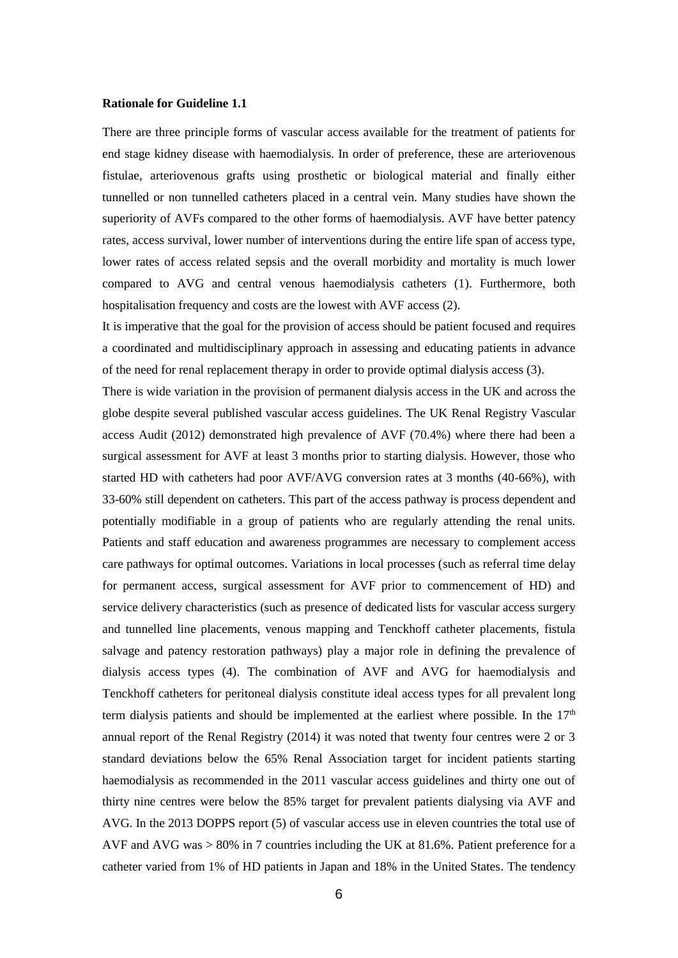#### **Rationale for Guideline 1.1**

There are three principle forms of vascular access available for the treatment of patients for end stage kidney disease with haemodialysis. In order of preference, these are arteriovenous fistulae, arteriovenous grafts using prosthetic or biological material and finally either tunnelled or non tunnelled catheters placed in a central vein. Many studies have shown the superiority of AVFs compared to the other forms of haemodialysis. AVF have better patency rates, access survival, lower number of interventions during the entire life span of access type, lower rates of access related sepsis and the overall morbidity and mortality is much lower compared to AVG and central venous haemodialysis catheters (1). Furthermore, both hospitalisation frequency and costs are the lowest with AVF access (2).

It is imperative that the goal for the provision of access should be patient focused and requires a coordinated and multidisciplinary approach in assessing and educating patients in advance of the need for renal replacement therapy in order to provide optimal dialysis access (3).

There is wide variation in the provision of permanent dialysis access in the UK and across the globe despite several published vascular access guidelines. The UK Renal Registry Vascular access Audit (2012) demonstrated high prevalence of AVF (70.4%) where there had been a surgical assessment for AVF at least 3 months prior to starting dialysis. However, those who started HD with catheters had poor AVF/AVG conversion rates at 3 months (40-66%), with 33-60% still dependent on catheters. This part of the access pathway is process dependent and potentially modifiable in a group of patients who are regularly attending the renal units. Patients and staff education and awareness programmes are necessary to complement access care pathways for optimal outcomes. Variations in local processes (such as referral time delay for permanent access, surgical assessment for AVF prior to commencement of HD) and service delivery characteristics (such as presence of dedicated lists for vascular access surgery and tunnelled line placements, venous mapping and Tenckhoff catheter placements, fistula salvage and patency restoration pathways) play a major role in defining the prevalence of dialysis access types (4). The combination of AVF and AVG for haemodialysis and Tenckhoff catheters for peritoneal dialysis constitute ideal access types for all prevalent long term dialysis patients and should be implemented at the earliest where possible. In the  $17<sup>th</sup>$ annual report of the Renal Registry (2014) it was noted that twenty four centres were 2 or 3 standard deviations below the 65% Renal Association target for incident patients starting haemodialysis as recommended in the 2011 vascular access guidelines and thirty one out of thirty nine centres were below the 85% target for prevalent patients dialysing via AVF and AVG. In the 2013 DOPPS report (5) of vascular access use in eleven countries the total use of AVF and AVG was > 80% in 7 countries including the UK at 81.6%. Patient preference for a catheter varied from 1% of HD patients in Japan and 18% in the United States. The tendency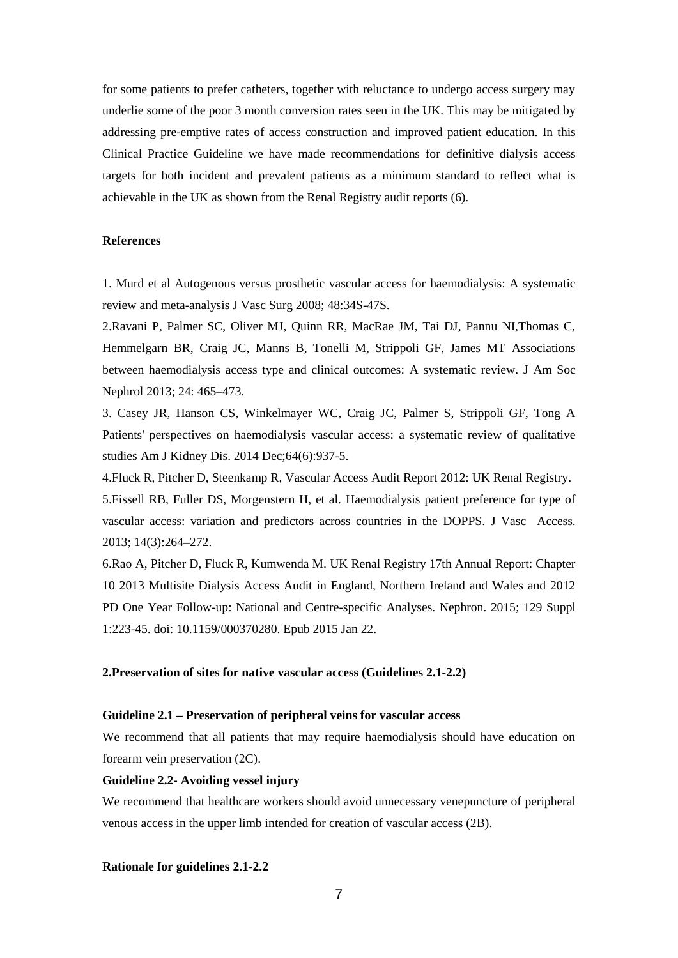for some patients to prefer catheters, together with reluctance to undergo access surgery may underlie some of the poor 3 month conversion rates seen in the UK. This may be mitigated by addressing pre-emptive rates of access construction and improved patient education. In this Clinical Practice Guideline we have made recommendations for definitive dialysis access targets for both incident and prevalent patients as a minimum standard to reflect what is achievable in the UK as shown from the Renal Registry audit reports (6).

#### **References**

1. Murd et al Autogenous versus prosthetic vascular access for haemodialysis: A systematic review and meta-analysis J Vasc Surg 2008; 48:34S-47S.

2.Ravani P, Palmer SC, Oliver MJ, Quinn RR, MacRae JM, Tai DJ, Pannu NI,Thomas C, Hemmelgarn BR, Craig JC, Manns B, Tonelli M, Strippoli GF, James MT Associations between haemodialysis access type and clinical outcomes: A systematic review. J Am Soc Nephrol 2013; 24: 465–473.

3. Casey JR, Hanson CS, Winkelmayer WC, Craig JC, Palmer S, Strippoli GF, Tong A Patients' perspectives on haemodialysis vascular access: a systematic review of qualitative studies Am J Kidney Dis. 2014 Dec;64(6):937-5.

4.Fluck R, Pitcher D, Steenkamp R, Vascular Access Audit Report 2012: UK Renal Registry. 5.Fissell RB, Fuller DS, Morgenstern H, et al. Haemodialysis patient preference for type of vascular access: variation and predictors across countries in the DOPPS. J Vasc Access. 2013; 14(3):264–272.

6.Rao A, Pitcher D, Fluck R, Kumwenda M. UK Renal Registry 17th Annual Report: Chapter 10 2013 Multisite Dialysis Access Audit in England, Northern Ireland and Wales and 2012 PD One Year Follow-up: National and Centre-specific Analyses. Nephron. 2015; 129 Suppl 1:223-45. doi: 10.1159/000370280. Epub 2015 Jan 22.

## **2.Preservation of sites for native vascular access (Guidelines 2.1-2.2)**

#### **Guideline 2.1 – Preservation of peripheral veins for vascular access**

We recommend that all patients that may require haemodialysis should have education on forearm vein preservation (2C).

#### **Guideline 2.2- Avoiding vessel injury**

We recommend that healthcare workers should avoid unnecessary venepuncture of peripheral venous access in the upper limb intended for creation of vascular access (2B).

**Rationale for guidelines 2.1-2.2**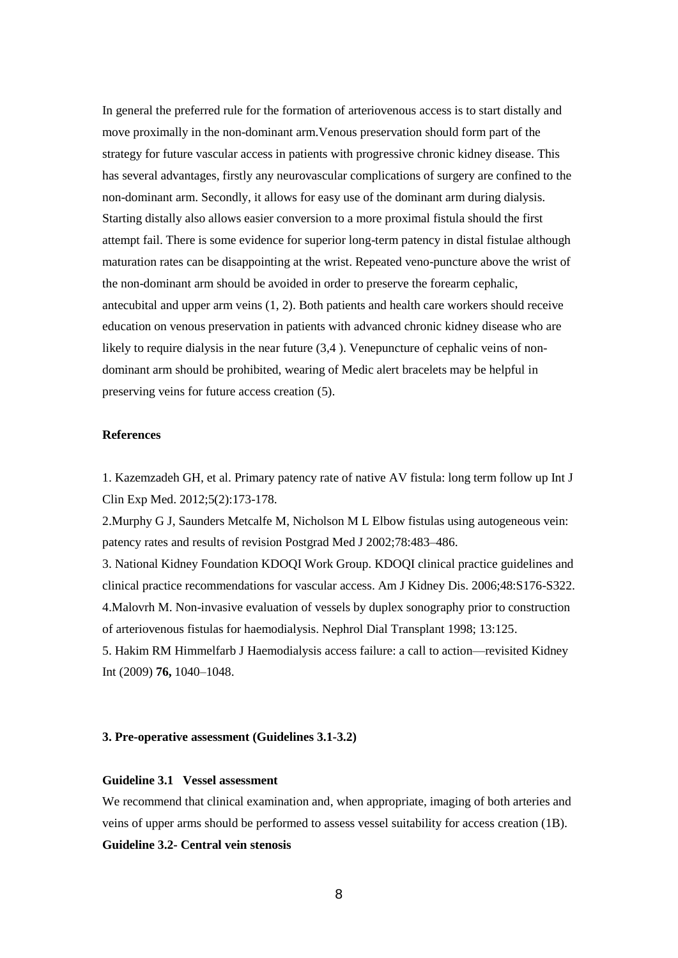In general the preferred rule for the formation of arteriovenous access is to start distally and move proximally in the non-dominant arm.Venous preservation should form part of the strategy for future vascular access in patients with progressive chronic kidney disease. This has several advantages, firstly any neurovascular complications of surgery are confined to the non-dominant arm. Secondly, it allows for easy use of the dominant arm during dialysis. Starting distally also allows easier conversion to a more proximal fistula should the first attempt fail. There is some evidence for superior long-term patency in distal fistulae although maturation rates can be disappointing at the wrist. Repeated veno-puncture above the wrist of the non-dominant arm should be avoided in order to preserve the forearm cephalic, antecubital and upper arm veins (1, 2). Both patients and health care workers should receive education on venous preservation in patients with advanced chronic kidney disease who are likely to require dialysis in the near future  $(3,4)$ . Venepuncture of cephalic veins of nondominant arm should be prohibited, wearing of Medic alert bracelets may be helpful in preserving veins for future access creation (5).

#### **References**

1. Kazemzadeh GH, et al. Primary patency rate of native AV fistula: long term follow up Int J Clin Exp Med. 2012;5(2):173-178.

2.Murphy G J, Saunders Metcalfe M, Nicholson M L Elbow fistulas using autogeneous vein: patency rates and results of revision Postgrad Med J 2002;78:483–486.

3. National Kidney Foundation KDOQI Work Group. KDOQI clinical practice guidelines and clinical practice recommendations for vascular access. Am J Kidney Dis. 2006;48:S176-S322. 4.Malovrh M. Non-invasive evaluation of vessels by duplex sonography prior to construction of arteriovenous fistulas for haemodialysis. Nephrol Dial Transplant 1998; 13:125.

5. Hakim RM Himmelfarb J Haemodialysis access failure: a call to action—revisited Kidney Int (2009) **76,** 1040–1048.

#### **3. Pre-operative assessment (Guidelines 3.1-3.2)**

#### **Guideline 3.1 Vessel assessment**

We recommend that clinical examination and, when appropriate, imaging of both arteries and veins of upper arms should be performed to assess vessel suitability for access creation (1B). **Guideline 3.2- Central vein stenosis**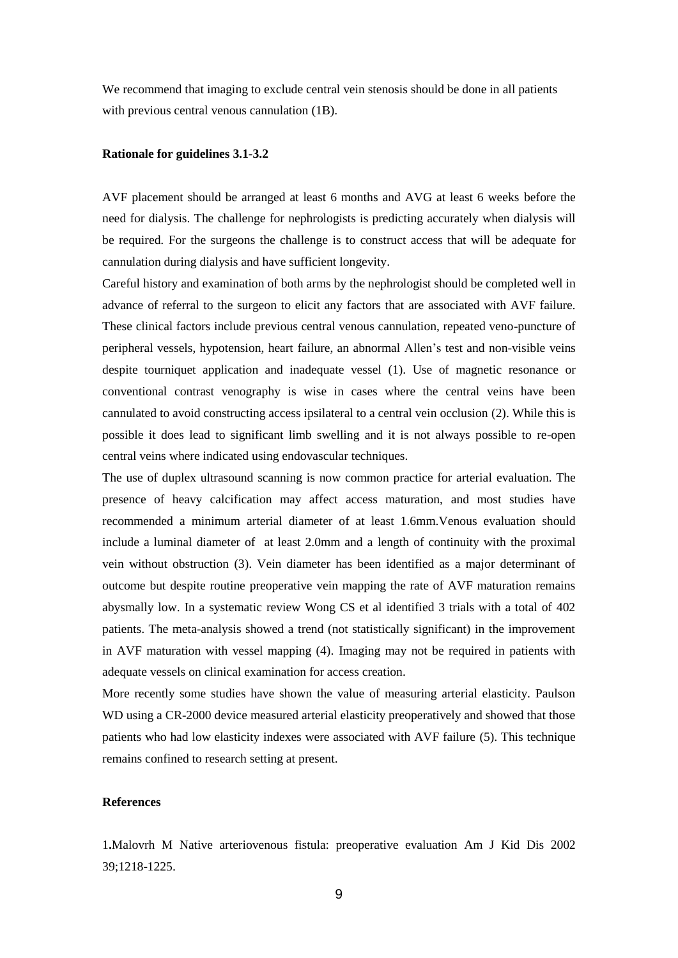We recommend that imaging to exclude central vein stenosis should be done in all patients with previous central venous cannulation (1B).

#### **Rationale for guidelines 3.1-3.2**

AVF placement should be arranged at least 6 months and AVG at least 6 weeks before the need for dialysis. The challenge for nephrologists is predicting accurately when dialysis will be required. For the surgeons the challenge is to construct access that will be adequate for cannulation during dialysis and have sufficient longevity.

Careful history and examination of both arms by the nephrologist should be completed well in advance of referral to the surgeon to elicit any factors that are associated with AVF failure. These clinical factors include previous central venous cannulation, repeated veno-puncture of peripheral vessels, hypotension, heart failure, an abnormal Allen's test and non-visible veins despite tourniquet application and inadequate vessel (1). Use of magnetic resonance or conventional contrast venography is wise in cases where the central veins have been cannulated to avoid constructing access ipsilateral to a central vein occlusion (2). While this is possible it does lead to significant limb swelling and it is not always possible to re-open central veins where indicated using endovascular techniques.

The use of duplex ultrasound scanning is now common practice for arterial evaluation. The presence of heavy calcification may affect access maturation, and most studies have recommended a minimum arterial diameter of at least 1.6mm.Venous evaluation should include a luminal diameter of at least 2.0mm and a length of continuity with the proximal vein without obstruction (3). Vein diameter has been identified as a major determinant of outcome but despite routine preoperative vein mapping the rate of AVF maturation remains abysmally low. In a systematic review Wong CS et al identified 3 trials with a total of 402 patients. The meta-analysis showed a trend (not statistically significant) in the improvement in AVF maturation with vessel mapping (4). Imaging may not be required in patients with adequate vessels on clinical examination for access creation.

More recently some studies have shown the value of measuring arterial elasticity. Paulson WD using a CR-2000 device measured arterial elasticity preoperatively and showed that those patients who had low elasticity indexes were associated with AVF failure (5). This technique remains confined to research setting at present.

#### **References**

1**.**Malovrh M Native arteriovenous fistula: preoperative evaluation Am J Kid Dis 2002 39;1218-1225.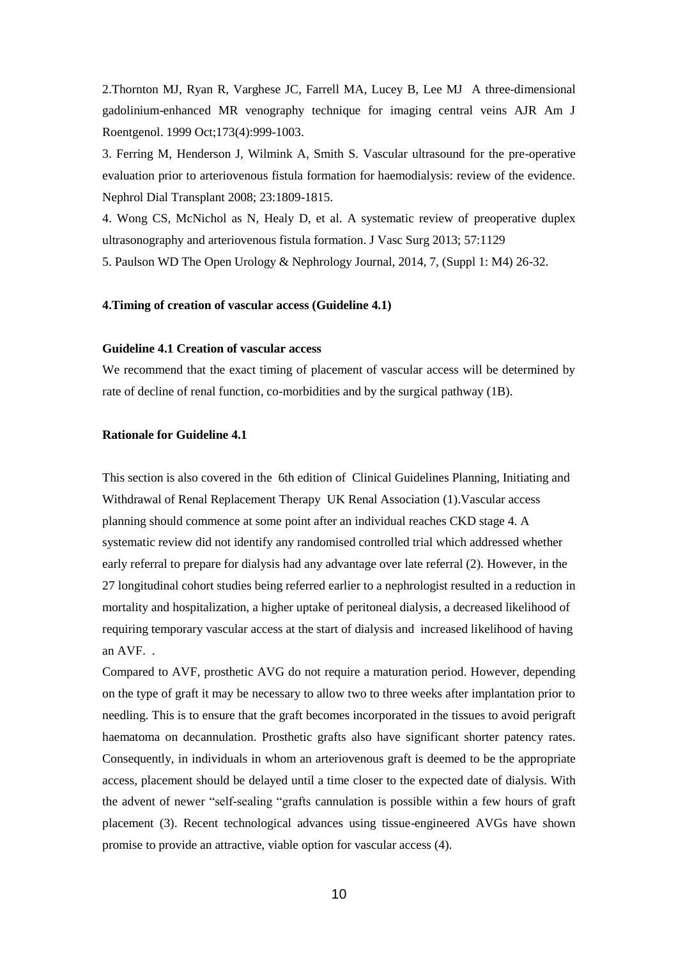2.Thornton MJ, Ryan R, Varghese JC, Farrell MA, Lucey B, Lee MJ A three-dimensional gadolinium-enhanced MR venography technique for imaging central veins AJR Am J Roentgenol. 1999 Oct;173(4):999-1003.

3. Ferring M, Henderson J, Wilmink A, Smith S. Vascular ultrasound for the pre-operative evaluation prior to arteriovenous fistula formation for haemodialysis: review of the evidence. Nephrol Dial Transplant 2008; 23:1809-1815.

4. Wong CS, McNichol as N, Healy D, et al. A systematic review of preoperative duplex ultrasonography and arteriovenous fistula formation. J Vasc Surg 2013; 57:1129 5. Paulson WD The Open Urology & Nephrology Journal, 2014, 7, (Suppl 1: M4) 26-32.

**4.Timing of creation of vascular access (Guideline 4.1)**

#### **Guideline 4.1 Creation of vascular access**

We recommend that the exact timing of placement of vascular access will be determined by rate of decline of renal function, co-morbidities and by the surgical pathway (1B).

#### **Rationale for Guideline 4.1**

This section is also covered in the 6th edition of Clinical Guidelines Planning, Initiating and Withdrawal of Renal Replacement Therapy UK Renal Association (1). Vascular access planning should commence at some point after an individual reaches CKD stage 4. A systematic review did not identify any randomised controlled trial which addressed whether early referral to prepare for dialysis had any advantage over late referral (2). However, in the 27 longitudinal cohort studies being referred earlier to a nephrologist resulted in a reduction in mortality and hospitalization, a higher uptake of peritoneal dialysis, a decreased likelihood of requiring temporary vascular access at the start of dialysis and increased likelihood of having an AVF. .

Compared to AVF, prosthetic AVG do not require a maturation period. However, depending on the type of graft it may be necessary to allow two to three weeks after implantation prior to needling. This is to ensure that the graft becomes incorporated in the tissues to avoid perigraft haematoma on decannulation. Prosthetic grafts also have significant shorter patency rates. Consequently, in individuals in whom an arteriovenous graft is deemed to be the appropriate access, placement should be delayed until a time closer to the expected date of dialysis. With the advent of newer "self-sealing "grafts cannulation is possible within a few hours of graft placement (3). Recent technological advances using tissue-engineered AVGs have shown promise to provide an attractive, viable option for vascular access (4).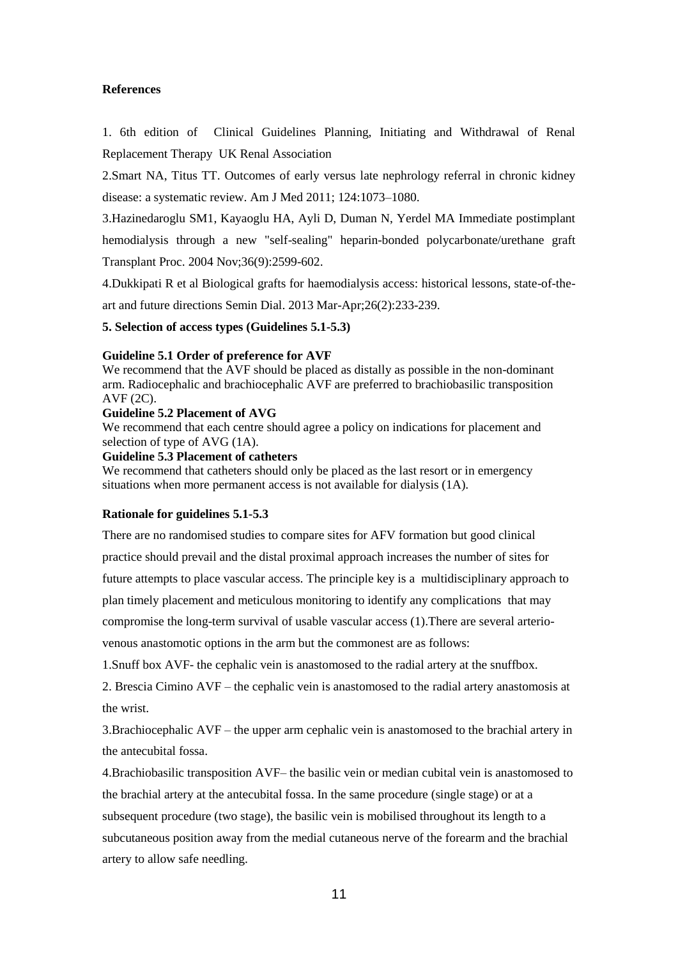#### **References**

1. 6th edition of Clinical Guidelines Planning, Initiating and Withdrawal of Renal Replacement Therapy UK Renal Association

2.Smart NA, Titus TT. Outcomes of early versus late nephrology referral in chronic kidney disease: a systematic review. Am J Med 2011; 124:1073–1080.

3.Hazinedaroglu SM1, Kayaoglu HA, Ayli D, Duman N, Yerdel MA Immediate postimplant

hemodialysis through a new "self-sealing" heparin-bonded polycarbonate/urethane graft Transplant Proc. 2004 Nov;36(9):2599-602.

4.Dukkipati R et al Biological grafts for haemodialysis access: historical lessons, state-of-theart and future directions Semin Dial. 2013 Mar-Apr;26(2):233-239.

**5. Selection of access types (Guidelines 5.1-5.3)**

#### **Guideline 5.1 Order of preference for AVF**

We recommend that the AVF should be placed as distally as possible in the non-dominant arm. Radiocephalic and brachiocephalic AVF are preferred to brachiobasilic transposition AVF (2C).

#### **Guideline 5.2 Placement of AVG**

We recommend that each centre should agree a policy on indications for placement and selection of type of AVG (1A).

#### **Guideline 5.3 Placement of catheters**

We recommend that catheters should only be placed as the last resort or in emergency situations when more permanent access is not available for dialysis (1A).

#### **Rationale for guidelines 5.1-5.3**

There are no randomised studies to compare sites for AFV formation but good clinical practice should prevail and the distal proximal approach increases the number of sites for future attempts to place vascular access. The principle key is a multidisciplinary approach to plan timely placement and meticulous monitoring to identify any complications that may compromise the long-term survival of usable vascular access (1).There are several arteriovenous anastomotic options in the arm but the commonest are as follows:

1.Snuff box AVF- the cephalic vein is anastomosed to the radial artery at the snuffbox.

2. Brescia Cimino AVF – the cephalic vein is anastomosed to the radial artery anastomosis at the wrist.

3.Brachiocephalic AVF – the upper arm cephalic vein is anastomosed to the brachial artery in the antecubital fossa.

4.Brachiobasilic transposition AVF– the basilic vein or median cubital vein is anastomosed to the brachial artery at the antecubital fossa. In the same procedure (single stage) or at a subsequent procedure (two stage), the basilic vein is mobilised throughout its length to a subcutaneous position away from the medial cutaneous nerve of the forearm and the brachial artery to allow safe needling.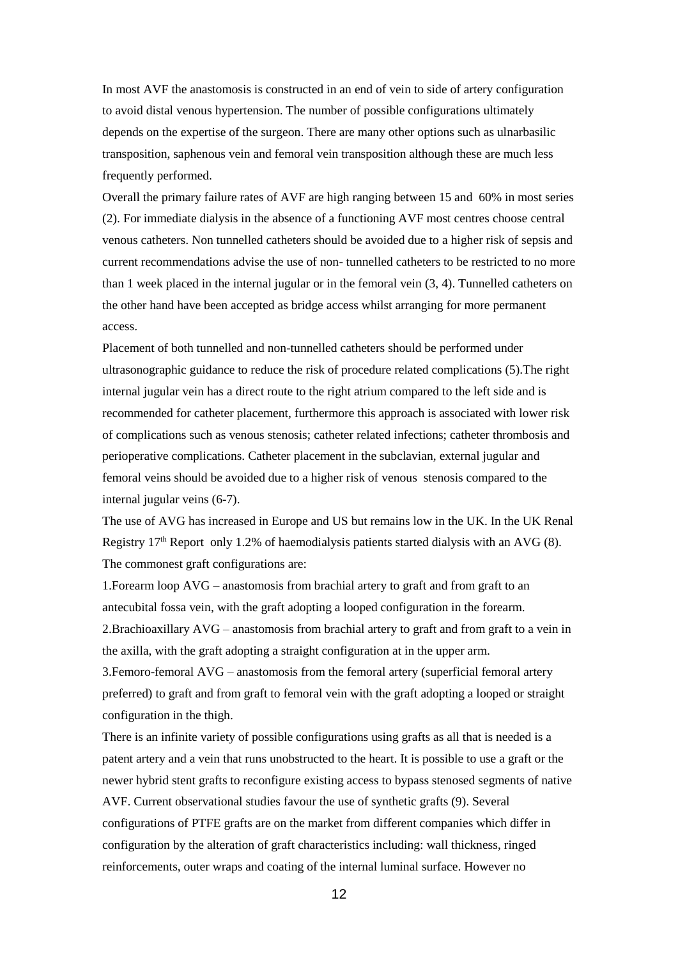In most AVF the anastomosis is constructed in an end of vein to side of artery configuration to avoid distal venous hypertension. The number of possible configurations ultimately depends on the expertise of the surgeon. There are many other options such as ulnarbasilic transposition, saphenous vein and femoral vein transposition although these are much less frequently performed.

Overall the primary failure rates of AVF are high ranging between 15 and 60% in most series (2). For immediate dialysis in the absence of a functioning AVF most centres choose central venous catheters. Non tunnelled catheters should be avoided due to a higher risk of sepsis and current recommendations advise the use of non- tunnelled catheters to be restricted to no more than 1 week placed in the internal jugular or in the femoral vein (3, 4). Tunnelled catheters on the other hand have been accepted as bridge access whilst arranging for more permanent access.

Placement of both tunnelled and non-tunnelled catheters should be performed under ultrasonographic guidance to reduce the risk of procedure related complications (5).The right internal jugular vein has a direct route to the right atrium compared to the left side and is recommended for catheter placement, furthermore this approach is associated with lower risk of complications such as venous stenosis; catheter related infections; catheter thrombosis and perioperative complications. Catheter placement in the subclavian, external jugular and femoral veins should be avoided due to a higher risk of venous stenosis compared to the internal jugular veins (6-7).

The use of AVG has increased in Europe and US but remains low in the UK. In the UK Renal Registry 17<sup>th</sup> Report only 1.2% of haemodialysis patients started dialysis with an AVG (8). The commonest graft configurations are:

1.Forearm loop AVG – anastomosis from brachial artery to graft and from graft to an antecubital fossa vein, with the graft adopting a looped configuration in the forearm. 2.Brachioaxillary AVG – anastomosis from brachial artery to graft and from graft to a vein in the axilla, with the graft adopting a straight configuration at in the upper arm.

3.Femoro-femoral AVG – anastomosis from the femoral artery (superficial femoral artery preferred) to graft and from graft to femoral vein with the graft adopting a looped or straight configuration in the thigh.

There is an infinite variety of possible configurations using grafts as all that is needed is a patent artery and a vein that runs unobstructed to the heart. It is possible to use a graft or the newer hybrid stent grafts to reconfigure existing access to bypass stenosed segments of native AVF. Current observational studies favour the use of synthetic grafts (9). Several configurations of PTFE grafts are on the market from different companies which differ in configuration by the alteration of graft characteristics including: wall thickness, ringed reinforcements, outer wraps and coating of the internal luminal surface. However no

12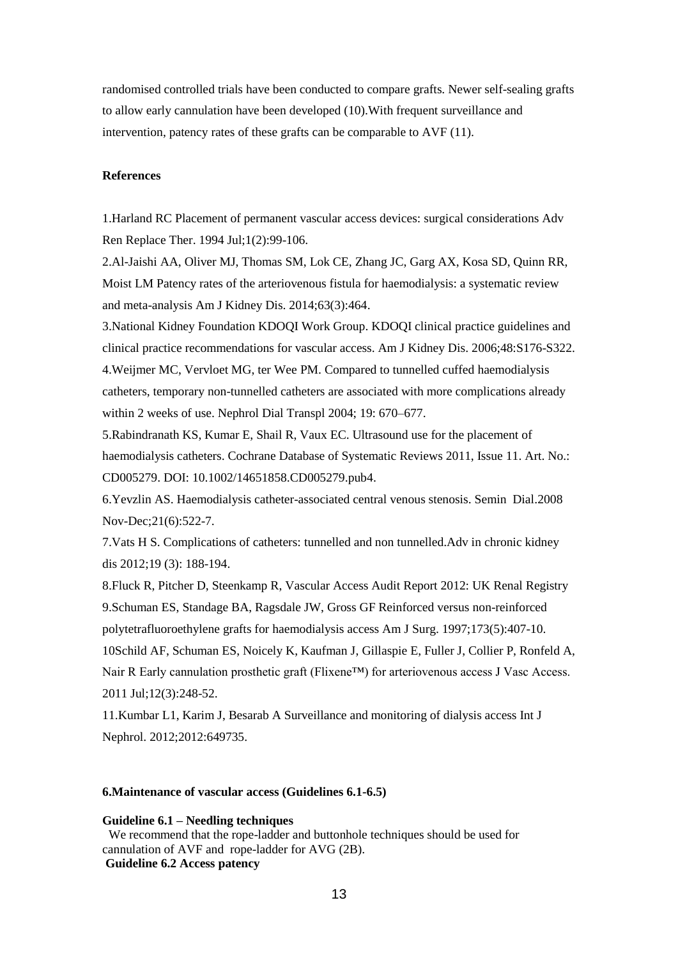randomised controlled trials have been conducted to compare grafts. Newer self-sealing grafts to allow early cannulation have been developed (10).With frequent surveillance and intervention, patency rates of these grafts can be comparable to AVF (11).

#### **References**

1.Harland RC Placement of permanent vascular access devices: surgical considerations Adv Ren Replace Ther. 1994 Jul;1(2):99-106.

2.Al-Jaishi AA, Oliver MJ, Thomas SM, Lok CE, Zhang JC, Garg AX, Kosa SD, Quinn RR, Moist LM Patency rates of the arteriovenous fistula for haemodialysis: a systematic review and meta-analysis Am J Kidney Dis. 2014;63(3):464.

3.National Kidney Foundation KDOQI Work Group. KDOQI clinical practice guidelines and clinical practice recommendations for vascular access. Am J Kidney Dis. 2006;48:S176-S322. 4.Weijmer MC, Vervloet MG, ter Wee PM. Compared to tunnelled cuffed haemodialysis catheters, temporary non-tunnelled catheters are associated with more complications already within 2 weeks of use. Nephrol Dial Transpl 2004; 19: 670–677.

5.Rabindranath KS, Kumar E, Shail R, Vaux EC. Ultrasound use for the placement of haemodialysis catheters. Cochrane Database of Systematic Reviews 2011, Issue 11. Art. No.: CD005279. DOI: 10.1002/14651858.CD005279.pub4.

6.Yevzlin AS. Haemodialysis catheter-associated central venous stenosis. Semin Dial.2008 Nov-Dec;21(6):522-7.

7.Vats H S. Complications of catheters: tunnelled and non tunnelled.Adv in chronic kidney dis 2012;19 (3): 188-194.

8.Fluck R, Pitcher D, Steenkamp R, Vascular Access Audit Report 2012: UK Renal Registry 9.Schuman ES, Standage BA, Ragsdale JW, Gross GF Reinforced versus non-reinforced polytetrafluoroethylene grafts for haemodialysis access Am J Surg. 1997;173(5):407-10. 10Schild AF, Schuman ES, Noicely K, Kaufman J, Gillaspie E, Fuller J, Collier P, Ronfeld A, Nair R Early cannulation prosthetic graft (Flixene™) for arteriovenous access J Vasc Access. 2011 Jul;12(3):248-52.

11.Kumbar L1, Karim J, Besarab A Surveillance and monitoring of dialysis access Int J Nephrol. 2012;2012:649735.

#### **6.Maintenance of vascular access (Guidelines 6.1-6.5)**

**Guideline 6.1 – Needling techniques**

 We recommend that the rope-ladder and buttonhole techniques should be used for cannulation of AVF and rope-ladder for AVG (2B). **Guideline 6.2 Access patency**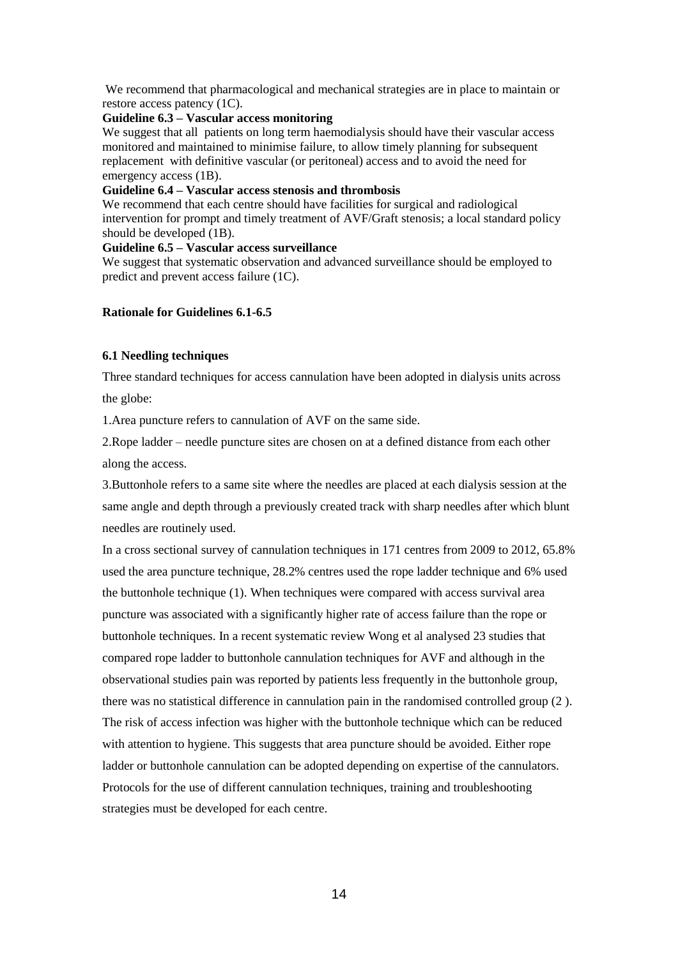We recommend that pharmacological and mechanical strategies are in place to maintain or restore access patency (1C).

## **Guideline 6.3 – Vascular access monitoring**

We suggest that all patients on long term haemodialysis should have their vascular access monitored and maintained to minimise failure, to allow timely planning for subsequent replacement with definitive vascular (or peritoneal) access and to avoid the need for emergency access (1B).

#### **Guideline 6.4 – Vascular access stenosis and thrombosis**

We recommend that each centre should have facilities for surgical and radiological intervention for prompt and timely treatment of AVF/Graft stenosis; a local standard policy should be developed (1B).

## **Guideline 6.5 – Vascular access surveillance**

We suggest that systematic observation and advanced surveillance should be employed to predict and prevent access failure (1C).

## **Rationale for Guidelines 6.1-6.5**

## **6.1 Needling techniques**

Three standard techniques for access cannulation have been adopted in dialysis units across the globe:

1.Area puncture refers to cannulation of AVF on the same side.

2.Rope ladder – needle puncture sites are chosen on at a defined distance from each other along the access.

3.Buttonhole refers to a same site where the needles are placed at each dialysis session at the same angle and depth through a previously created track with sharp needles after which blunt needles are routinely used.

In a cross sectional survey of cannulation techniques in 171 centres from 2009 to 2012, 65.8% used the area puncture technique, 28.2% centres used the rope ladder technique and 6% used the buttonhole technique (1). When techniques were compared with access survival area puncture was associated with a significantly higher rate of access failure than the rope or buttonhole techniques. In a recent systematic review Wong et al analysed 23 studies that compared rope ladder to buttonhole cannulation techniques for AVF and although in the observational studies pain was reported by patients less frequently in the buttonhole group, there was no statistical difference in cannulation pain in the randomised controlled group (2 ). The risk of access infection was higher with the buttonhole technique which can be reduced with attention to hygiene. This suggests that area puncture should be avoided. Either rope ladder or buttonhole cannulation can be adopted depending on expertise of the cannulators. Protocols for the use of different cannulation techniques, training and troubleshooting strategies must be developed for each centre.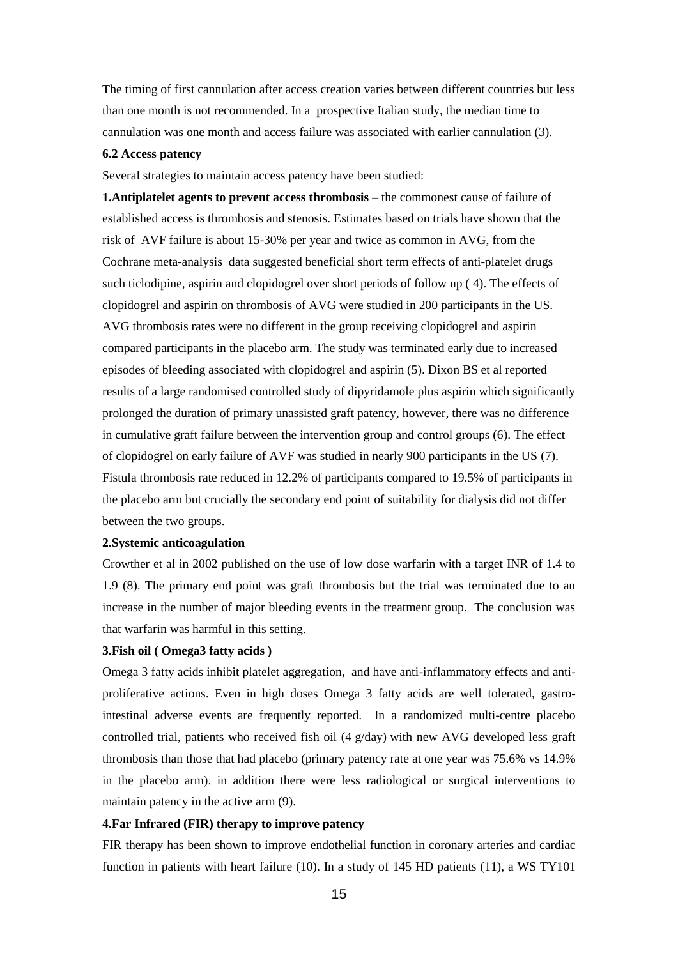The timing of first cannulation after access creation varies between different countries but less than one month is not recommended. In a prospective Italian study, the median time to cannulation was one month and access failure was associated with earlier cannulation (3).

#### **6.2 Access patency**

Several strategies to maintain access patency have been studied:

**1.Antiplatelet agents to prevent access thrombosis** – the commonest cause of failure of established access is thrombosis and stenosis. Estimates based on trials have shown that the risk of AVF failure is about 15-30% per year and twice as common in AVG, from the Cochrane meta-analysis data suggested beneficial short term effects of anti-platelet drugs such ticlodipine, aspirin and clopidogrel over short periods of follow up ( 4). The effects of clopidogrel and aspirin on thrombosis of AVG were studied in 200 participants in the US. AVG thrombosis rates were no different in the group receiving clopidogrel and aspirin compared participants in the placebo arm. The study was terminated early due to increased episodes of bleeding associated with clopidogrel and aspirin (5). Dixon BS et al reported results of a large randomised controlled study of dipyridamole plus aspirin which significantly prolonged the duration of primary unassisted graft patency, however, there was no difference in cumulative graft failure between the intervention group and control groups (6). The effect of clopidogrel on early failure of AVF was studied in nearly 900 participants in the US (7). Fistula thrombosis rate reduced in 12.2% of participants compared to 19.5% of participants in the placebo arm but crucially the secondary end point of suitability for dialysis did not differ between the two groups.

#### **2.Systemic anticoagulation**

Crowther et al in 2002 published on the use of low dose warfarin with a target INR of 1.4 to 1.9 (8). The primary end point was graft thrombosis but the trial was terminated due to an increase in the number of major bleeding events in the treatment group. The conclusion was that warfarin was harmful in this setting.

#### **3.Fish oil ( Omega3 fatty acids )**

Omega 3 fatty acids inhibit platelet aggregation, and have anti-inflammatory effects and antiproliferative actions. Even in high doses Omega 3 fatty acids are well tolerated, gastrointestinal adverse events are frequently reported. In a randomized multi-centre placebo controlled trial, patients who received fish oil  $(4 \text{ g/day})$  with new AVG developed less graft thrombosis than those that had placebo (primary patency rate at one year was 75.6% vs 14.9% in the placebo arm). in addition there were less radiological or surgical interventions to maintain patency in the active arm (9).

#### **4.Far Infrared (FIR) therapy to improve patency**

FIR therapy has been shown to improve endothelial function in coronary arteries and cardiac function in patients with heart failure (10). In a study of 145 HD patients (11), a WS TY101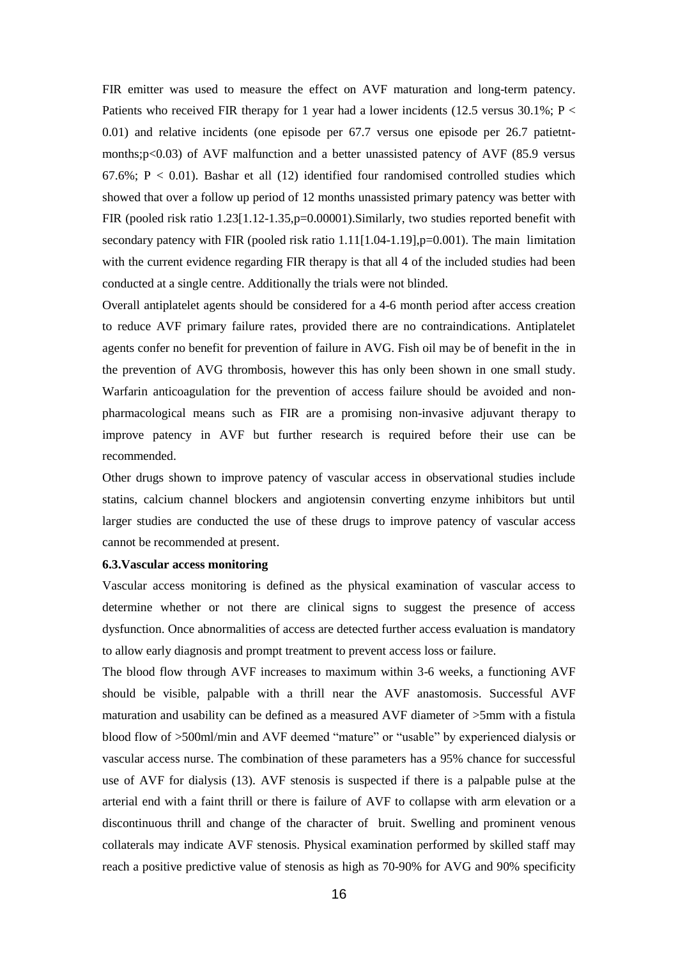FIR emitter was used to measure the effect on AVF maturation and long-term patency. Patients who received FIR therapy for 1 year had a lower incidents (12.5 versus 30.1%; P  $\lt$ 0.01) and relative incidents (one episode per 67.7 versus one episode per 26.7 patietntmonths;p<0.03) of AVF malfunction and a better unassisted patency of AVF (85.9 versus 67.6%;  $P < 0.01$ ). Bashar et all (12) identified four randomised controlled studies which showed that over a follow up period of 12 months unassisted primary patency was better with FIR (pooled risk ratio 1.23[1.12-1.35,p=0.00001). Similarly, two studies reported benefit with secondary patency with FIR (pooled risk ratio 1.11[1.04-1.19], p=0.001). The main limitation with the current evidence regarding FIR therapy is that all 4 of the included studies had been conducted at a single centre. Additionally the trials were not blinded.

Overall antiplatelet agents should be considered for a 4-6 month period after access creation to reduce AVF primary failure rates, provided there are no contraindications. Antiplatelet agents confer no benefit for prevention of failure in AVG. Fish oil may be of benefit in the in the prevention of AVG thrombosis, however this has only been shown in one small study. Warfarin anticoagulation for the prevention of access failure should be avoided and nonpharmacological means such as FIR are a promising non-invasive adjuvant therapy to improve patency in AVF but further research is required before their use can be recommended.

Other drugs shown to improve patency of vascular access in observational studies include statins, calcium channel blockers and angiotensin converting enzyme inhibitors but until larger studies are conducted the use of these drugs to improve patency of vascular access cannot be recommended at present.

#### **6.3.Vascular access monitoring**

Vascular access monitoring is defined as the physical examination of vascular access to determine whether or not there are clinical signs to suggest the presence of access dysfunction. Once abnormalities of access are detected further access evaluation is mandatory to allow early diagnosis and prompt treatment to prevent access loss or failure.

The blood flow through AVF increases to maximum within 3-6 weeks, a functioning AVF should be visible, palpable with a thrill near the AVF anastomosis. Successful AVF maturation and usability can be defined as a measured AVF diameter of >5mm with a fistula blood flow of >500ml/min and AVF deemed "mature" or "usable" by experienced dialysis or vascular access nurse. The combination of these parameters has a 95% chance for successful use of AVF for dialysis (13). AVF stenosis is suspected if there is a palpable pulse at the arterial end with a faint thrill or there is failure of AVF to collapse with arm elevation or a discontinuous thrill and change of the character of bruit. Swelling and prominent venous collaterals may indicate AVF stenosis. Physical examination performed by skilled staff may reach a positive predictive value of stenosis as high as 70-90% for AVG and 90% specificity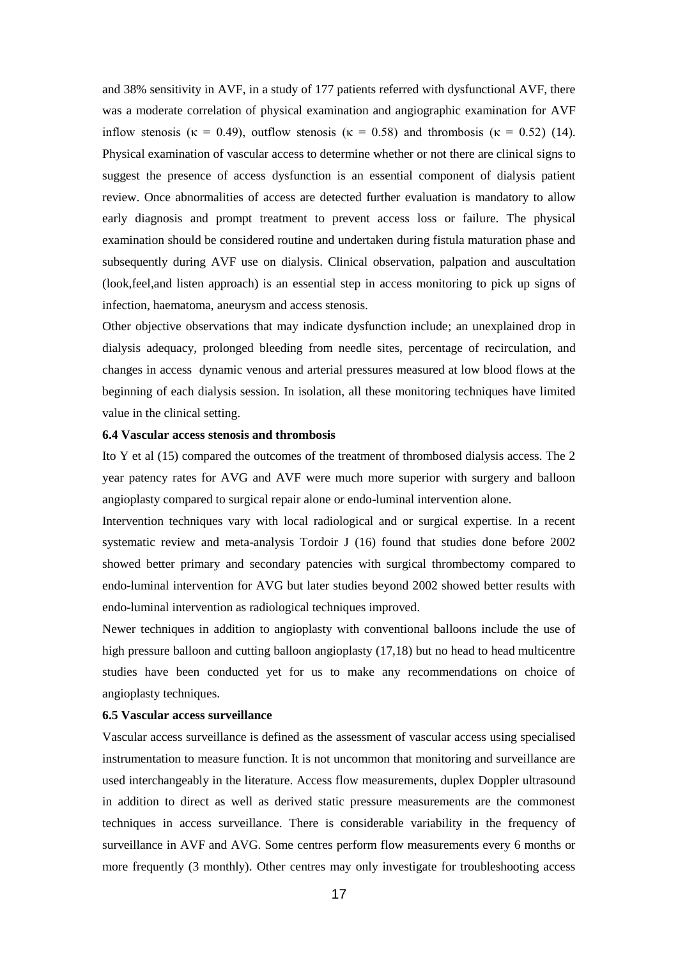and 38% sensitivity in AVF, in a study of 177 patients referred with dysfunctional AVF, there was a moderate correlation of physical examination and angiographic examination for AVF inflow stenosis ( $\kappa = 0.49$ ), outflow stenosis ( $\kappa = 0.58$ ) and thrombosis ( $\kappa = 0.52$ ) (14). Physical examination of vascular access to determine whether or not there are clinical signs to suggest the presence of access dysfunction is an essential component of dialysis patient review. Once abnormalities of access are detected further evaluation is mandatory to allow early diagnosis and prompt treatment to prevent access loss or failure. The physical examination should be considered routine and undertaken during fistula maturation phase and subsequently during AVF use on dialysis. Clinical observation, palpation and auscultation (look,feel,and listen approach) is an essential step in access monitoring to pick up signs of infection, haematoma, aneurysm and access stenosis.

Other objective observations that may indicate dysfunction include; an unexplained drop in dialysis adequacy, prolonged bleeding from needle sites, percentage of recirculation, and changes in access dynamic venous and arterial pressures measured at low blood flows at the beginning of each dialysis session. In isolation, all these monitoring techniques have limited value in the clinical setting.

## **6.4 Vascular access stenosis and thrombosis**

Ito Y et al (15) compared the outcomes of the treatment of thrombosed dialysis access. The 2 year patency rates for AVG and AVF were much more superior with surgery and balloon angioplasty compared to surgical repair alone or endo-luminal intervention alone.

Intervention techniques vary with local radiological and or surgical expertise. In a recent systematic review and meta-analysis Tordoir J (16) found that studies done before 2002 showed better primary and secondary patencies with surgical thrombectomy compared to endo-luminal intervention for AVG but later studies beyond 2002 showed better results with endo-luminal intervention as radiological techniques improved.

Newer techniques in addition to angioplasty with conventional balloons include the use of high pressure balloon and cutting balloon angioplasty (17,18) but no head to head multicentre studies have been conducted yet for us to make any recommendations on choice of angioplasty techniques.

#### **6.5 Vascular access surveillance**

Vascular access surveillance is defined as the assessment of vascular access using specialised instrumentation to measure function. It is not uncommon that monitoring and surveillance are used interchangeably in the literature. Access flow measurements, duplex Doppler ultrasound in addition to direct as well as derived static pressure measurements are the commonest techniques in access surveillance. There is considerable variability in the frequency of surveillance in AVF and AVG. Some centres perform flow measurements every 6 months or more frequently (3 monthly). Other centres may only investigate for troubleshooting access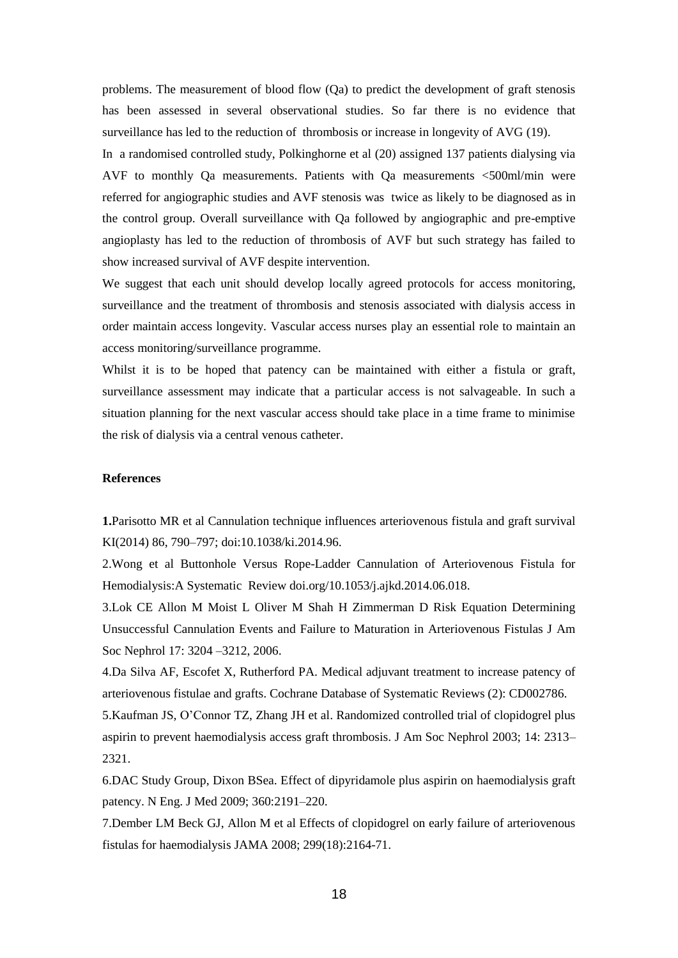problems. The measurement of blood flow (Qa) to predict the development of graft stenosis has been assessed in several observational studies. So far there is no evidence that surveillance has led to the reduction of thrombosis or increase in longevity of AVG (19).

In a randomised controlled study, Polkinghorne et al (20) assigned 137 patients dialysing via AVF to monthly Qa measurements. Patients with Qa measurements <500ml/min were referred for angiographic studies and AVF stenosis was twice as likely to be diagnosed as in the control group. Overall surveillance with Qa followed by angiographic and pre-emptive angioplasty has led to the reduction of thrombosis of AVF but such strategy has failed to show increased survival of AVF despite intervention.

We suggest that each unit should develop locally agreed protocols for access monitoring, surveillance and the treatment of thrombosis and stenosis associated with dialysis access in order maintain access longevity. Vascular access nurses play an essential role to maintain an access monitoring/surveillance programme.

Whilst it is to be hoped that patency can be maintained with either a fistula or graft, surveillance assessment may indicate that a particular access is not salvageable. In such a situation planning for the next vascular access should take place in a time frame to minimise the risk of dialysis via a central venous catheter.

#### **References**

**1.**Parisotto MR et al Cannulation technique influences arteriovenous fistula and graft survival KI(2014) 86, 790–797; doi:10.1038/ki.2014.96.

2.Wong et al Buttonhole Versus Rope-Ladder Cannulation of Arteriovenous Fistula for Hemodialysis:A Systematic Review doi.org/10.1053/j.ajkd.2014.06.018.

3.Lok CE Allon M Moist L Oliver M Shah H Zimmerman D Risk Equation Determining Unsuccessful Cannulation Events and Failure to Maturation in Arteriovenous Fistulas J Am Soc Nephrol 17: 3204 –3212, 2006.

4.Da Silva AF, Escofet X, Rutherford PA. Medical adjuvant treatment to increase patency of arteriovenous fistulae and grafts. Cochrane Database of Systematic Reviews (2): CD002786.

5.Kaufman JS, O'Connor TZ, Zhang JH et al. Randomized controlled trial of clopidogrel plus aspirin to prevent haemodialysis access graft thrombosis. J Am Soc Nephrol 2003; 14: 2313– 2321.

6.DAC Study Group, Dixon BSea. Effect of dipyridamole plus aspirin on haemodialysis graft patency. N Eng. J Med 2009; 360:2191–220.

7.Dember LM Beck GJ, Allon M et al Effects of clopidogrel on early failure of arteriovenous fistulas for haemodialysis JAMA 2008; 299(18):2164-71.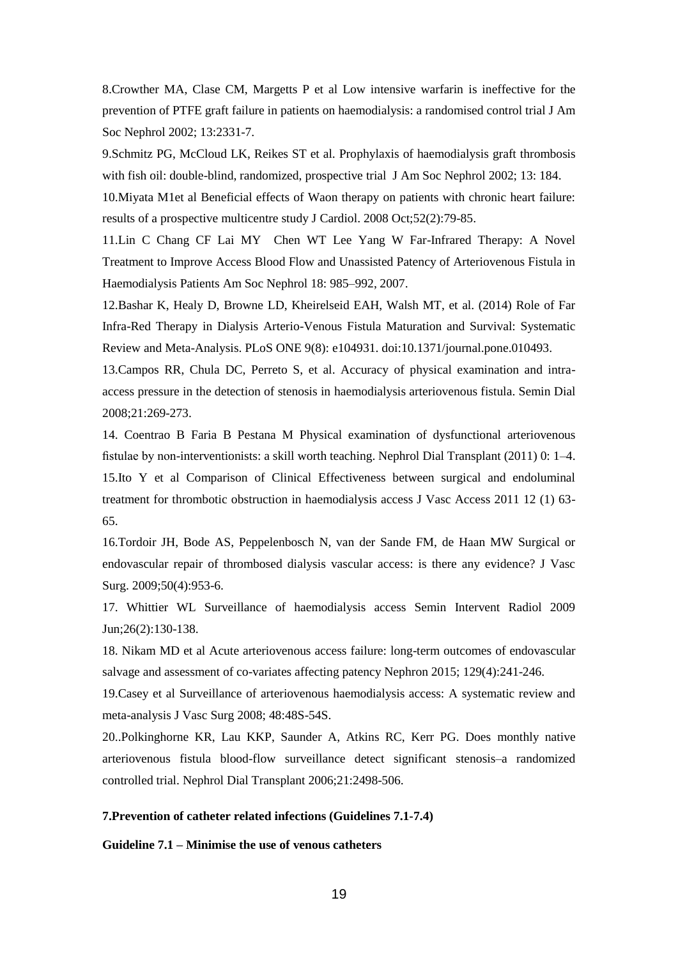8.Crowther MA, Clase CM, Margetts P et al Low intensive warfarin is ineffective for the prevention of PTFE graft failure in patients on haemodialysis: a randomised control trial J Am Soc Nephrol 2002; 13:2331-7.

9.Schmitz PG, McCloud LK, Reikes ST et al. Prophylaxis of haemodialysis graft thrombosis with fish oil: double-blind, randomized, prospective trial J Am Soc Nephrol 2002; 13: 184.

10.Miyata M1et al Beneficial effects of Waon therapy on patients with chronic heart failure: results of a prospective multicentre study J Cardiol. 2008 Oct;52(2):79-85.

11.Lin C Chang CF Lai MY Chen WT Lee Yang W Far-Infrared Therapy: A Novel Treatment to Improve Access Blood Flow and Unassisted Patency of Arteriovenous Fistula in Haemodialysis Patients Am Soc Nephrol 18: 985–992, 2007.

12.Bashar K, Healy D, Browne LD, Kheirelseid EAH, Walsh MT, et al. (2014) Role of Far Infra-Red Therapy in Dialysis Arterio-Venous Fistula Maturation and Survival: Systematic Review and Meta-Analysis. PLoS ONE 9(8): e104931. doi:10.1371/journal.pone.010493.

13.Campos RR, Chula DC, Perreto S, et al. Accuracy of physical examination and intraaccess pressure in the detection of stenosis in haemodialysis arteriovenous fistula. Semin Dial 2008;21:269-273.

14. Coentrao B Faria B Pestana M Physical examination of dysfunctional arteriovenous fistulae by non-interventionists: a skill worth teaching. Nephrol Dial Transplant (2011) 0: 1–4. 15.Ito Y et al Comparison of Clinical Effectiveness between surgical and endoluminal treatment for thrombotic obstruction in haemodialysis access J Vasc Access 2011 12 (1) 63- 65.

16.Tordoir JH, Bode AS, Peppelenbosch N, van der Sande FM, de Haan MW Surgical or endovascular repair of thrombosed dialysis vascular access: is there any evidence? J Vasc Surg. 2009;50(4):953-6.

17. Whittier WL Surveillance of haemodialysis access Semin Intervent Radiol 2009 Jun;26(2):130-138.

18. Nikam MD et al Acute arteriovenous access failure: long-term outcomes of endovascular salvage and assessment of co-variates affecting patency Nephron 2015; 129(4):241-246.

19.Casey et al Surveillance of arteriovenous haemodialysis access: A systematic review and meta-analysis J Vasc Surg 2008; 48:48S-54S.

20..Polkinghorne KR, Lau KKP, Saunder A, Atkins RC, Kerr PG. Does monthly native arteriovenous fistula blood-flow surveillance detect significant stenosis–a randomized controlled trial. Nephrol Dial Transplant 2006;21:2498-506.

#### **7.Prevention of catheter related infections (Guidelines 7.1-7.4)**

**Guideline 7.1 – Minimise the use of venous catheters**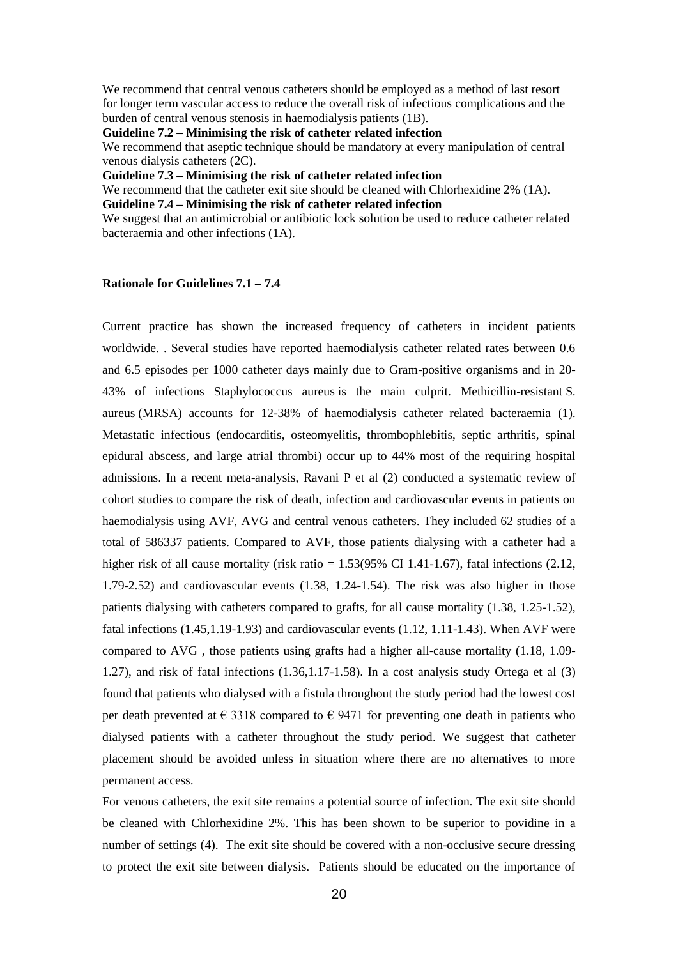We recommend that central venous catheters should be employed as a method of last resort for longer term vascular access to reduce the overall risk of infectious complications and the burden of central venous stenosis in haemodialysis patients (1B).

**Guideline 7.2 – Minimising the risk of catheter related infection**

We recommend that aseptic technique should be mandatory at every manipulation of central venous dialysis catheters (2C).

**Guideline 7.3 – Minimising the risk of catheter related infection**

We recommend that the catheter exit site should be cleaned with Chlorhexidine 2% (1A).

**Guideline 7.4 – Minimising the risk of catheter related infection**

We suggest that an antimicrobial or antibiotic lock solution be used to reduce catheter related bacteraemia and other infections (1A).

## **Rationale for Guidelines 7.1 – 7.4**

Current practice has shown the increased frequency of catheters in incident patients worldwide. . Several studies have reported haemodialysis catheter related rates between 0.6 and 6.5 episodes per 1000 catheter days mainly due to Gram-positive organisms and in 20- 43% of infections Staphylococcus aureus is the main culprit. Methicillin-resistant S. aureus (MRSA) accounts for 12-38% of haemodialysis catheter related bacteraemia (1). Metastatic infectious (endocarditis, osteomyelitis, thrombophlebitis, septic arthritis, spinal epidural abscess, and large atrial thrombi) occur up to 44% most of the requiring hospital admissions. In a recent meta-analysis, Ravani P et al (2) conducted a systematic review of cohort studies to compare the risk of death, infection and cardiovascular events in patients on haemodialysis using AVF, AVG and central venous catheters. They included 62 studies of a total of 586337 patients. Compared to AVF, those patients dialysing with a catheter had a higher risk of all cause mortality (risk ratio  $= 1.53(95\% \text{ CI } 1.41{\text{-}}1.67)$ , fatal infections (2.12, 1.79-2.52) and cardiovascular events (1.38, 1.24-1.54). The risk was also higher in those patients dialysing with catheters compared to grafts, for all cause mortality (1.38, 1.25-1.52), fatal infections (1.45,1.19-1.93) and cardiovascular events (1.12, 1.11-1.43). When AVF were compared to AVG , those patients using grafts had a higher all-cause mortality (1.18, 1.09- 1.27), and risk of fatal infections (1.36,1.17-1.58). In a cost analysis study Ortega et al (3) found that patients who dialysed with a fistula throughout the study period had the lowest cost per death prevented at  $\in$  3318 compared to  $\in$  9471 for preventing one death in patients who dialysed patients with a catheter throughout the study period. We suggest that catheter placement should be avoided unless in situation where there are no alternatives to more permanent access.

For venous catheters, the exit site remains a potential source of infection. The exit site should be cleaned with Chlorhexidine 2%. This has been shown to be superior to povidine in a number of settings (4). The exit site should be covered with a non-occlusive secure dressing to protect the exit site between dialysis. Patients should be educated on the importance of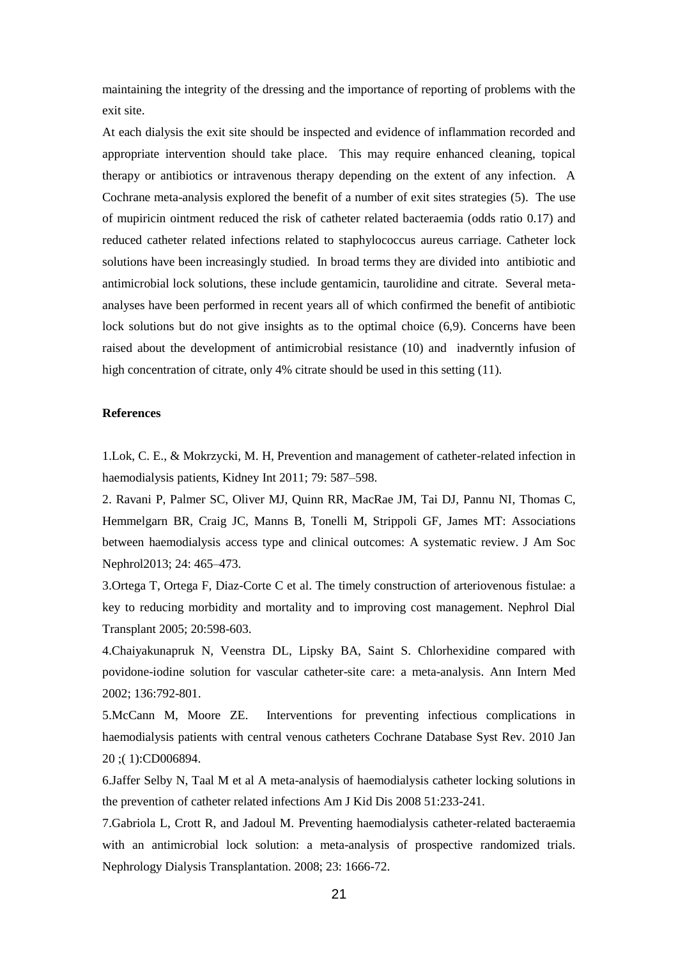maintaining the integrity of the dressing and the importance of reporting of problems with the exit site.

At each dialysis the exit site should be inspected and evidence of inflammation recorded and appropriate intervention should take place. This may require enhanced cleaning, topical therapy or antibiotics or intravenous therapy depending on the extent of any infection. A Cochrane meta-analysis explored the benefit of a number of exit sites strategies (5). The use of mupiricin ointment reduced the risk of catheter related bacteraemia (odds ratio 0.17) and reduced catheter related infections related to staphylococcus aureus carriage. Catheter lock solutions have been increasingly studied. In broad terms they are divided into antibiotic and antimicrobial lock solutions, these include gentamicin, taurolidine and citrate. Several metaanalyses have been performed in recent years all of which confirmed the benefit of antibiotic lock solutions but do not give insights as to the optimal choice (6,9). Concerns have been raised about the development of antimicrobial resistance (10) and inadverntly infusion of high concentration of citrate, only 4% citrate should be used in this setting (11).

#### **References**

1.Lok, C. E., & Mokrzycki, M. H, Prevention and management of catheter-related infection in haemodialysis patients, Kidney Int 2011; 79: 587–598.

2. Ravani P, Palmer SC, Oliver MJ, Quinn RR, MacRae JM, Tai DJ, Pannu NI, Thomas C, Hemmelgarn BR, Craig JC, Manns B, Tonelli M, Strippoli GF, James MT: Associations between haemodialysis access type and clinical outcomes: A systematic review. J Am Soc Nephrol2013; 24: 465–473.

3.Ortega T, Ortega F, Diaz-Corte C et al. The timely construction of arteriovenous fistulae: a key to reducing morbidity and mortality and to improving cost management. Nephrol Dial Transplant 2005; 20:598-603.

4.Chaiyakunapruk N, Veenstra DL, Lipsky BA, Saint S. Chlorhexidine compared with povidone-iodine solution for vascular catheter-site care: a meta-analysis. Ann Intern Med 2002; 136:792-801.

5.McCann M, Moore ZE. Interventions for preventing infectious complications in haemodialysis patients with central venous catheters Cochrane Database Syst Rev. 2010 Jan 20 ;( 1):CD006894.

6.Jaffer Selby N, Taal M et al A meta-analysis of haemodialysis catheter locking solutions in the prevention of catheter related infections Am J Kid Dis 2008 51:233-241.

7.Gabriola L, Crott R, and Jadoul M. Preventing haemodialysis catheter-related bacteraemia with an antimicrobial lock solution: a meta-analysis of prospective randomized trials. Nephrology Dialysis Transplantation. 2008; 23: 1666-72.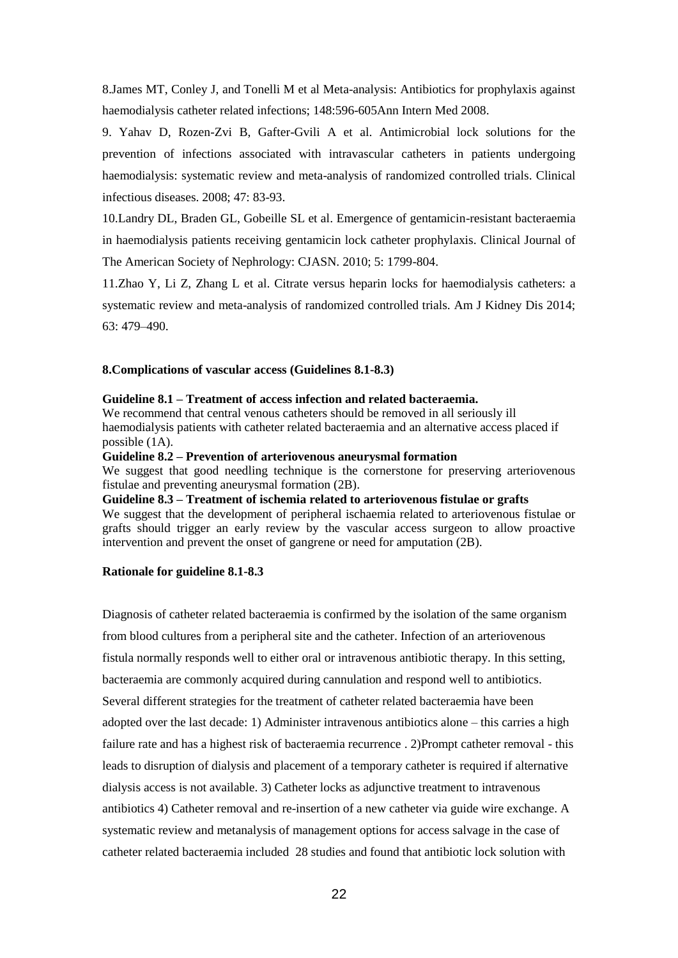8.James MT, Conley J, and Tonelli M et al Meta-analysis: Antibiotics for prophylaxis against haemodialysis catheter related infections; 148:596-605Ann Intern Med 2008.

9. Yahav D, Rozen-Zvi B, Gafter-Gvili A et al. Antimicrobial lock solutions for the prevention of infections associated with intravascular catheters in patients undergoing haemodialysis: systematic review and meta-analysis of randomized controlled trials. Clinical infectious diseases. 2008; 47: 83-93.

10.Landry DL, Braden GL, Gobeille SL et al. Emergence of gentamicin-resistant bacteraemia in haemodialysis patients receiving gentamicin lock catheter prophylaxis. Clinical Journal of The American Society of Nephrology: CJASN. 2010; 5: 1799-804.

11.Zhao Y, Li Z, Zhang L et al. Citrate versus heparin locks for haemodialysis catheters: a systematic review and meta-analysis of randomized controlled trials. Am J Kidney Dis 2014; 63: 479–490.

#### **8.Complications of vascular access (Guidelines 8.1-8.3)**

#### **Guideline 8.1 – Treatment of access infection and related bacteraemia.**

We recommend that central venous catheters should be removed in all seriously ill haemodialysis patients with catheter related bacteraemia and an alternative access placed if possible (1A).

**Guideline 8.2 – Prevention of arteriovenous aneurysmal formation**

We suggest that good needling technique is the cornerstone for preserving arteriovenous fistulae and preventing aneurysmal formation (2B).

**Guideline 8.3 – Treatment of ischemia related to arteriovenous fistulae or grafts** We suggest that the development of peripheral ischaemia related to arteriovenous fistulae or grafts should trigger an early review by the vascular access surgeon to allow proactive intervention and prevent the onset of gangrene or need for amputation (2B).

#### **Rationale for guideline 8.1-8.3**

Diagnosis of catheter related bacteraemia is confirmed by the isolation of the same organism from blood cultures from a peripheral site and the catheter. Infection of an arteriovenous fistula normally responds well to either oral or intravenous antibiotic therapy. In this setting, bacteraemia are commonly acquired during cannulation and respond well to antibiotics. Several different strategies for the treatment of catheter related bacteraemia have been adopted over the last decade: 1) Administer intravenous antibiotics alone – this carries a high failure rate and has a highest risk of bacteraemia recurrence . 2)Prompt catheter removal - this leads to disruption of dialysis and placement of a temporary catheter is required if alternative dialysis access is not available. 3) Catheter locks as adjunctive treatment to intravenous antibiotics 4) Catheter removal and re-insertion of a new catheter via guide wire exchange. A systematic review and metanalysis of management options for access salvage in the case of catheter related bacteraemia included 28 studies and found that antibiotic lock solution with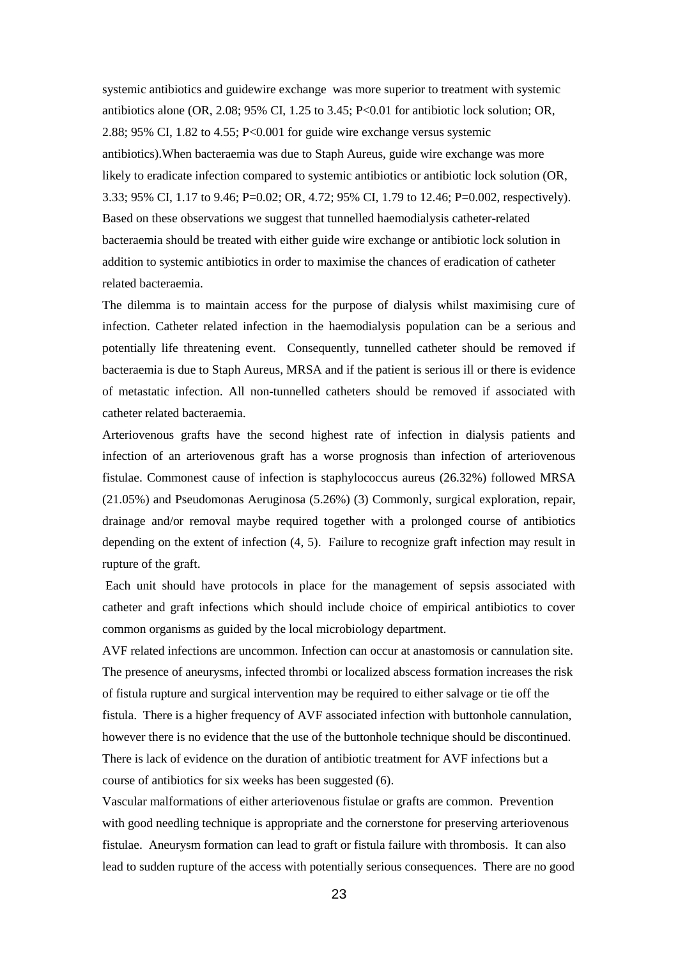systemic antibiotics and guidewire exchange was more superior to treatment with systemic antibiotics alone (OR, 2.08; 95% CI, 1.25 to 3.45; P<0.01 for antibiotic lock solution; OR, 2.88; 95% CI, 1.82 to 4.55; P<0.001 for guide wire exchange versus systemic antibiotics).When bacteraemia was due to Staph Aureus, guide wire exchange was more likely to eradicate infection compared to systemic antibiotics or antibiotic lock solution (OR, 3.33; 95% CI, 1.17 to 9.46; P=0.02; OR, 4.72; 95% CI, 1.79 to 12.46; P=0.002, respectively). Based on these observations we suggest that tunnelled haemodialysis catheter-related bacteraemia should be treated with either guide wire exchange or antibiotic lock solution in addition to systemic antibiotics in order to maximise the chances of eradication of catheter related bacteraemia.

The dilemma is to maintain access for the purpose of dialysis whilst maximising cure of infection. Catheter related infection in the haemodialysis population can be a serious and potentially life threatening event. Consequently, tunnelled catheter should be removed if bacteraemia is due to Staph Aureus, MRSA and if the patient is serious ill or there is evidence of metastatic infection. All non-tunnelled catheters should be removed if associated with catheter related bacteraemia.

Arteriovenous grafts have the second highest rate of infection in dialysis patients and infection of an arteriovenous graft has a worse prognosis than infection of arteriovenous fistulae. Commonest cause of infection is staphylococcus aureus (26.32%) followed MRSA (21.05%) and Pseudomonas Aeruginosa (5.26%) (3) Commonly, surgical exploration, repair, drainage and/or removal maybe required together with a prolonged course of antibiotics depending on the extent of infection (4, 5). Failure to recognize graft infection may result in rupture of the graft.

Each unit should have protocols in place for the management of sepsis associated with catheter and graft infections which should include choice of empirical antibiotics to cover common organisms as guided by the local microbiology department.

AVF related infections are uncommon. Infection can occur at anastomosis or cannulation site. The presence of aneurysms, infected thrombi or localized abscess formation increases the risk of fistula rupture and surgical intervention may be required to either salvage or tie off the fistula. There is a higher frequency of AVF associated infection with buttonhole cannulation, however there is no evidence that the use of the buttonhole technique should be discontinued. There is lack of evidence on the duration of antibiotic treatment for AVF infections but a course of antibiotics for six weeks has been suggested (6).

Vascular malformations of either arteriovenous fistulae or grafts are common. Prevention with good needling technique is appropriate and the cornerstone for preserving arteriovenous fistulae. Aneurysm formation can lead to graft or fistula failure with thrombosis. It can also lead to sudden rupture of the access with potentially serious consequences. There are no good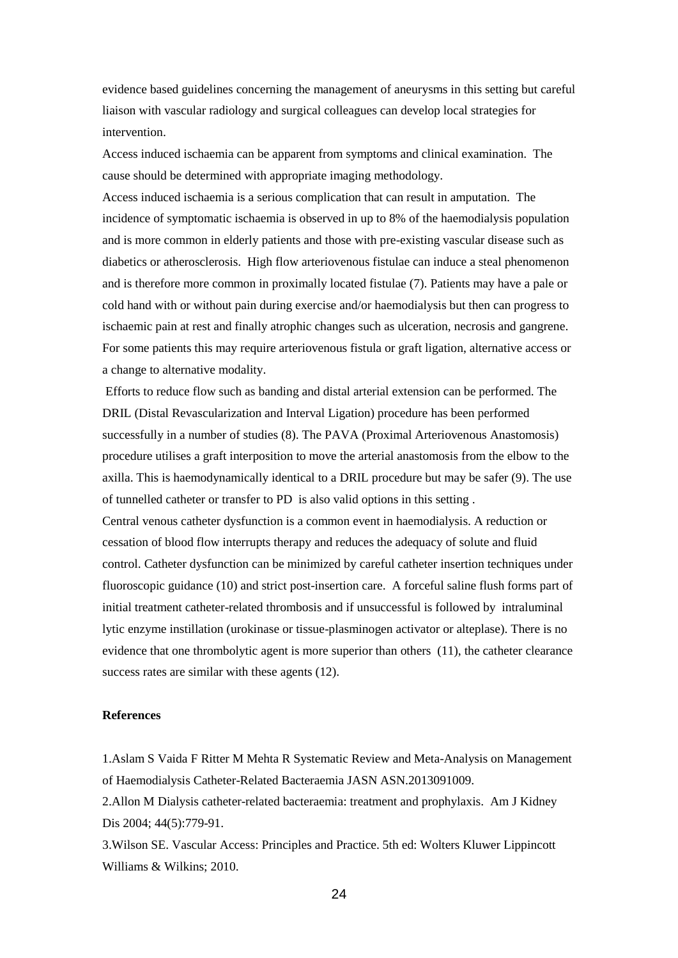evidence based guidelines concerning the management of aneurysms in this setting but careful liaison with vascular radiology and surgical colleagues can develop local strategies for intervention.

Access induced ischaemia can be apparent from symptoms and clinical examination. The cause should be determined with appropriate imaging methodology.

Access induced ischaemia is a serious complication that can result in amputation. The incidence of symptomatic ischaemia is observed in up to 8% of the haemodialysis population and is more common in elderly patients and those with pre-existing vascular disease such as diabetics or atherosclerosis. High flow arteriovenous fistulae can induce a steal phenomenon and is therefore more common in proximally located fistulae (7). Patients may have a pale or cold hand with or without pain during exercise and/or haemodialysis but then can progress to ischaemic pain at rest and finally atrophic changes such as ulceration, necrosis and gangrene. For some patients this may require arteriovenous fistula or graft ligation, alternative access or a change to alternative modality.

Efforts to reduce flow such as banding and distal arterial extension can be performed. The DRIL (Distal Revascularization and Interval Ligation) procedure has been performed successfully in a number of studies (8). The PAVA (Proximal Arteriovenous Anastomosis) procedure utilises a graft interposition to move the arterial anastomosis from the elbow to the axilla. This is haemodynamically identical to a DRIL procedure but may be safer (9). The use of tunnelled catheter or transfer to PD is also valid options in this setting .

Central venous catheter dysfunction is a common event in haemodialysis. A reduction or cessation of blood flow interrupts therapy and reduces the adequacy of solute and fluid control. Catheter dysfunction can be minimized by careful catheter insertion techniques under fluoroscopic guidance (10) and strict post-insertion care. A forceful saline flush forms part of initial treatment catheter-related thrombosis and if unsuccessful is followed by intraluminal lytic enzyme instillation (urokinase or tissue-plasminogen activator or alteplase). There is no evidence that one thrombolytic agent is more superior than others (11), the catheter clearance success rates are similar with these agents (12).

#### **References**

1.Aslam S Vaida F Ritter M Mehta R Systematic Review and Meta-Analysis on Management of Haemodialysis Catheter-Related Bacteraemia JASN ASN.2013091009.

2.Allon M Dialysis catheter-related bacteraemia: treatment and prophylaxis. Am J Kidney Dis 2004; 44(5):779-91.

3.Wilson SE. Vascular Access: Principles and Practice. 5th ed: Wolters Kluwer Lippincott Williams & Wilkins; 2010.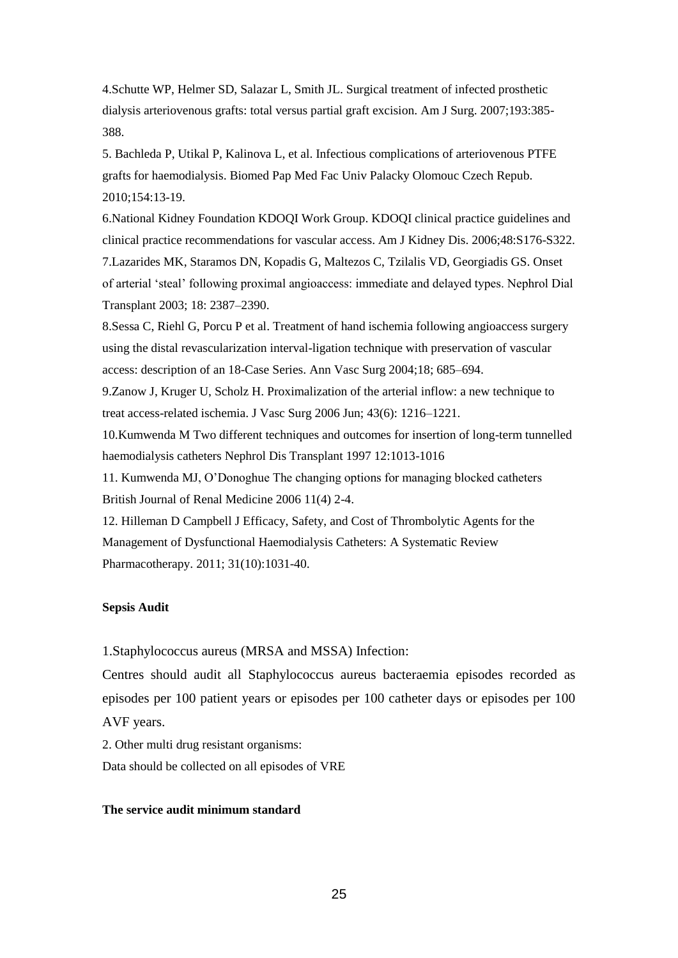4.Schutte WP, Helmer SD, Salazar L, Smith JL. Surgical treatment of infected prosthetic dialysis arteriovenous grafts: total versus partial graft excision. Am J Surg. 2007;193:385- 388.

5. Bachleda P, Utikal P, Kalinova L, et al. Infectious complications of arteriovenous PTFE grafts for haemodialysis. Biomed Pap Med Fac Univ Palacky Olomouc Czech Repub. 2010;154:13-19.

6.National Kidney Foundation KDOQI Work Group. KDOQI clinical practice guidelines and clinical practice recommendations for vascular access. Am J Kidney Dis. 2006;48:S176-S322. 7.Lazarides MK, Staramos DN, Kopadis G, Maltezos C, Tzilalis VD, Georgiadis GS. Onset of arterial 'steal' following proximal angioaccess: immediate and delayed types. Nephrol Dial Transplant 2003; 18: 2387–2390.

8.Sessa C, Riehl G, Porcu P et al. Treatment of hand ischemia following angioaccess surgery using the distal revascularization interval-ligation technique with preservation of vascular access: description of an 18-Case Series. Ann Vasc Surg 2004;18; 685–694.

9.Zanow J, Kruger U, Scholz H. Proximalization of the arterial inflow: a new technique to treat access-related ischemia. J Vasc Surg 2006 Jun; 43(6): 1216–1221.

10.Kumwenda M Two different techniques and outcomes for insertion of long-term tunnelled haemodialysis catheters Nephrol Dis Transplant 1997 12:1013-1016

11. Kumwenda MJ, O'Donoghue The changing options for managing blocked catheters British Journal of Renal Medicine 2006 11(4) 2-4.

12. Hilleman D Campbell J Efficacy, Safety, and Cost of Thrombolytic Agents for the Management of Dysfunctional Haemodialysis Catheters: A Systematic Review Pharmacotherapy. 2011; 31(10):1031-40.

#### **Sepsis Audit**

1.Staphylococcus aureus (MRSA and MSSA) Infection:

Centres should audit all Staphylococcus aureus bacteraemia episodes recorded as episodes per 100 patient years or episodes per 100 catheter days or episodes per 100 AVF years.

2. Other multi drug resistant organisms:

Data should be collected on all episodes of VRE

#### **The service audit minimum standard**